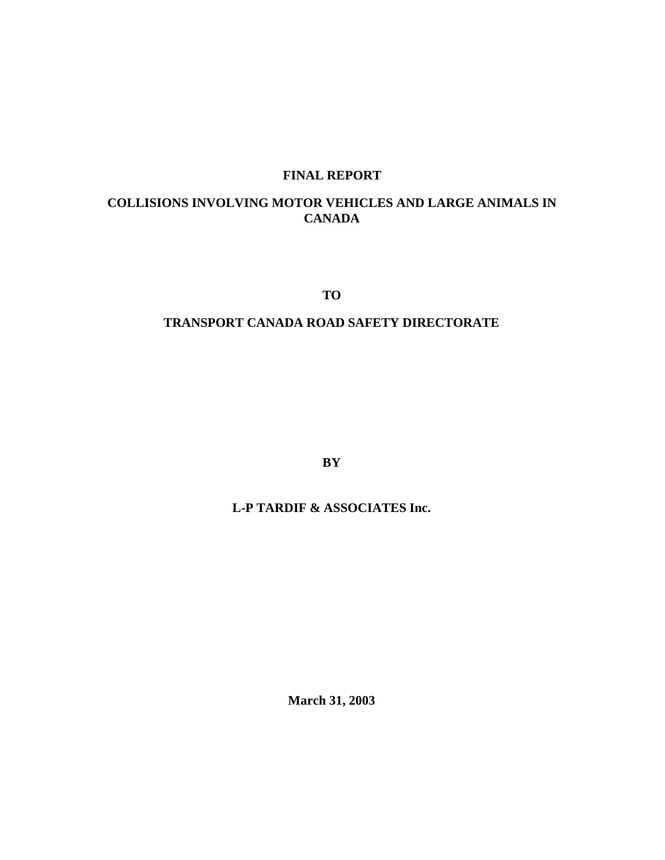# **FINAL REPORT**

## **COLLISIONS INVOLVING MOTOR VEHICLES AND LARGE ANIMALS IN CANADA**

**TO**

## **TRANSPORT CANADA ROAD SAFETY DIRECTORATE**

**BY**

## **L-P TARDIF & ASSOCIATES Inc.**

**March 31, 2003**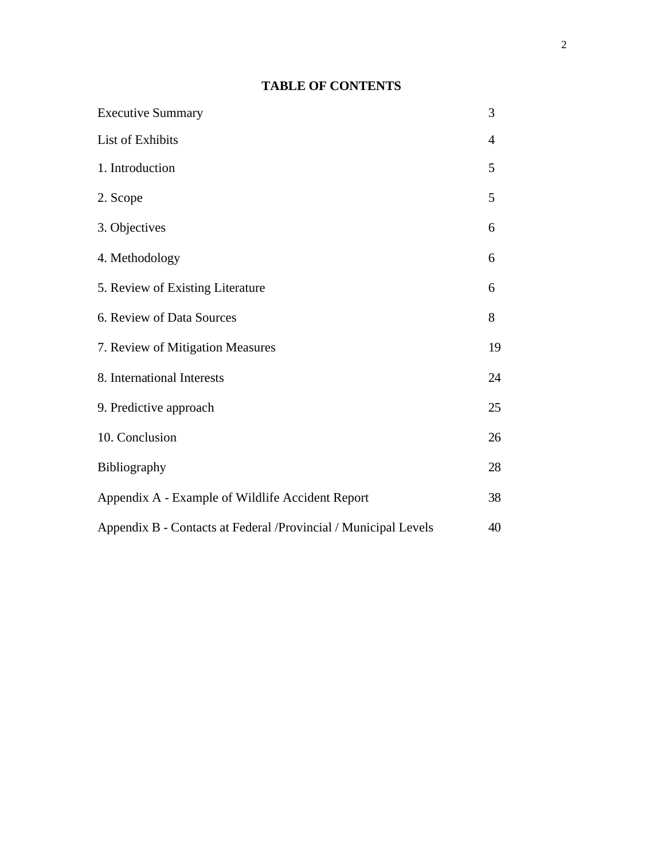## **TABLE OF CONTENTS**

| <b>Executive Summary</b>                                        | 3              |
|-----------------------------------------------------------------|----------------|
| <b>List of Exhibits</b>                                         | $\overline{4}$ |
| 1. Introduction                                                 | 5              |
| 2. Scope                                                        | 5              |
| 3. Objectives                                                   | 6              |
| 4. Methodology                                                  | 6              |
| 5. Review of Existing Literature                                | 6              |
| 6. Review of Data Sources                                       | 8              |
| 7. Review of Mitigation Measures                                | 19             |
| 8. International Interests                                      | 24             |
| 9. Predictive approach                                          | 25             |
| 10. Conclusion                                                  | 26             |
| Bibliography                                                    | 28             |
| Appendix A - Example of Wildlife Accident Report                | 38             |
| Appendix B - Contacts at Federal /Provincial / Municipal Levels | 40             |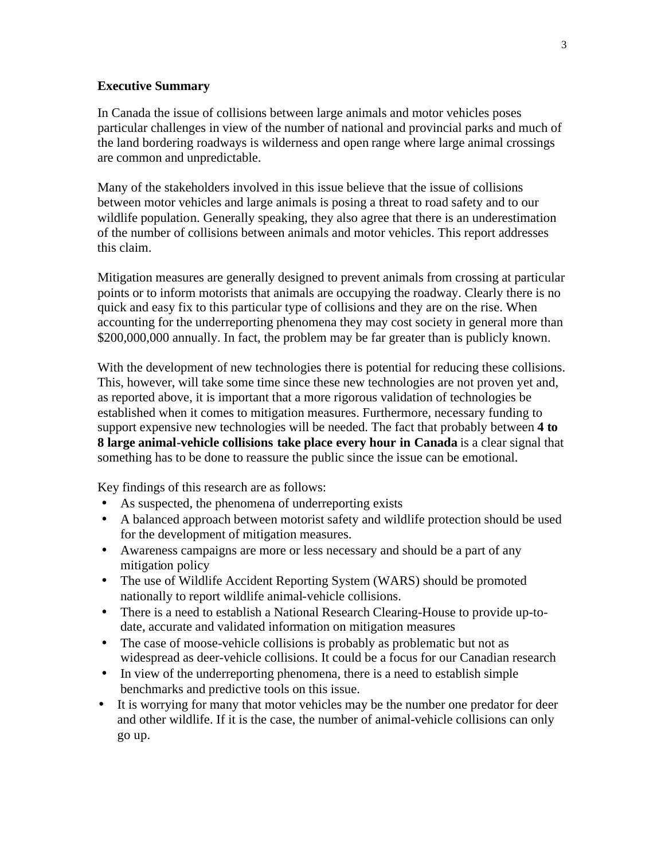### **Executive Summary**

In Canada the issue of collisions between large animals and motor vehicles poses particular challenges in view of the number of national and provincial parks and much of the land bordering roadways is wilderness and open range where large animal crossings are common and unpredictable.

Many of the stakeholders involved in this issue believe that the issue of collisions between motor vehicles and large animals is posing a threat to road safety and to our wildlife population. Generally speaking, they also agree that there is an underestimation of the number of collisions between animals and motor vehicles. This report addresses this claim.

Mitigation measures are generally designed to prevent animals from crossing at particular points or to inform motorists that animals are occupying the roadway. Clearly there is no quick and easy fix to this particular type of collisions and they are on the rise. When accounting for the underreporting phenomena they may cost society in general more than \$200,000,000 annually. In fact, the problem may be far greater than is publicly known.

With the development of new technologies there is potential for reducing these collisions. This, however, will take some time since these new technologies are not proven yet and, as reported above, it is important that a more rigorous validation of technologies be established when it comes to mitigation measures. Furthermore, necessary funding to support expensive new technologies will be needed. The fact that probably between **4 to 8 large animal-vehicle collisions take place every hour in Canada** is a clear signal that something has to be done to reassure the public since the issue can be emotional.

Key findings of this research are as follows:

- As suspected, the phenomena of underreporting exists
- A balanced approach between motorist safety and wildlife protection should be used for the development of mitigation measures.
- Awareness campaigns are more or less necessary and should be a part of any mitigation policy
- The use of Wildlife Accident Reporting System (WARS) should be promoted nationally to report wildlife animal-vehicle collisions.
- There is a need to establish a National Research Clearing-House to provide up-todate, accurate and validated information on mitigation measures
- The case of moose-vehicle collisions is probably as problematic but not as widespread as deer-vehicle collisions. It could be a focus for our Canadian research
- In view of the underreporting phenomena, there is a need to establish simple benchmarks and predictive tools on this issue.
- It is worrying for many that motor vehicles may be the number one predator for deer and other wildlife. If it is the case, the number of animal-vehicle collisions can only go up.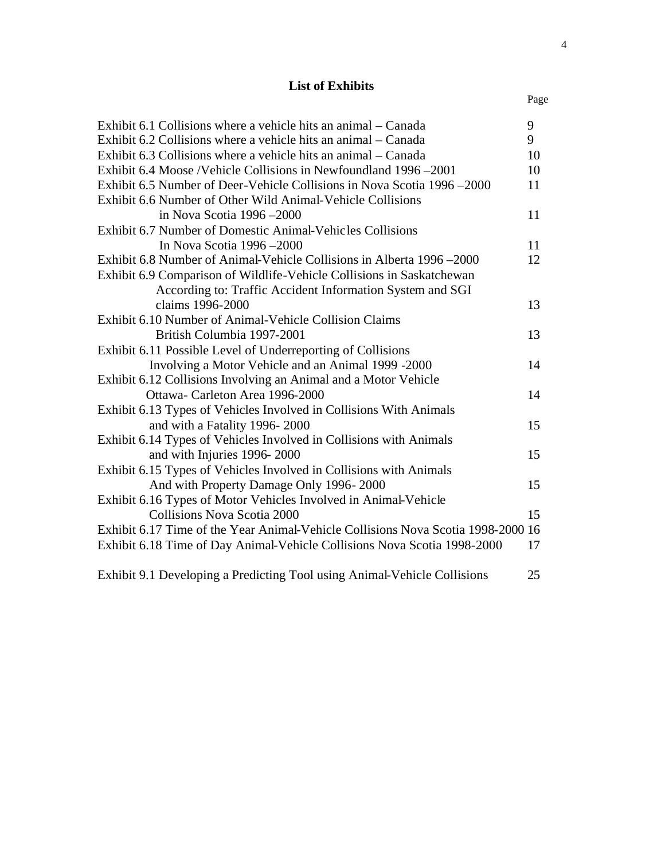## **List of Exhibits**

| Exhibit 6.1 Collisions where a vehicle hits an animal – Canada                   | 9  |
|----------------------------------------------------------------------------------|----|
| Exhibit 6.2 Collisions where a vehicle hits an animal – Canada                   | 9  |
| Exhibit 6.3 Collisions where a vehicle hits an animal – Canada                   | 10 |
| Exhibit 6.4 Moose /Vehicle Collisions in Newfoundland 1996–2001                  | 10 |
| Exhibit 6.5 Number of Deer-Vehicle Collisions in Nova Scotia 1996–2000           | 11 |
| Exhibit 6.6 Number of Other Wild Animal-Vehicle Collisions                       |    |
| in Nova Scotia 1996 - 2000                                                       | 11 |
| Exhibit 6.7 Number of Domestic Animal-Vehicles Collisions                        |    |
| In Nova Scotia 1996 -2000                                                        | 11 |
| Exhibit 6.8 Number of Animal-Vehicle Collisions in Alberta 1996–2000             | 12 |
| Exhibit 6.9 Comparison of Wildlife-Vehicle Collisions in Saskatchewan            |    |
| According to: Traffic Accident Information System and SGI                        |    |
| claims 1996-2000                                                                 | 13 |
| Exhibit 6.10 Number of Animal-Vehicle Collision Claims                           |    |
| British Columbia 1997-2001                                                       | 13 |
| Exhibit 6.11 Possible Level of Underreporting of Collisions                      |    |
| Involving a Motor Vehicle and an Animal 1999 -2000                               | 14 |
| Exhibit 6.12 Collisions Involving an Animal and a Motor Vehicle                  |    |
| Ottawa- Carleton Area 1996-2000                                                  | 14 |
| Exhibit 6.13 Types of Vehicles Involved in Collisions With Animals               |    |
| and with a Fatality 1996-2000                                                    | 15 |
| Exhibit 6.14 Types of Vehicles Involved in Collisions with Animals               |    |
| and with Injuries 1996-2000                                                      | 15 |
| Exhibit 6.15 Types of Vehicles Involved in Collisions with Animals               |    |
| And with Property Damage Only 1996-2000                                          | 15 |
| Exhibit 6.16 Types of Motor Vehicles Involved in Animal-Vehicle                  |    |
| <b>Collisions Nova Scotia 2000</b>                                               | 15 |
| Exhibit 6.17 Time of the Year Animal-Vehicle Collisions Nova Scotia 1998-2000 16 |    |
| Exhibit 6.18 Time of Day Animal-Vehicle Collisions Nova Scotia 1998-2000         | 17 |
|                                                                                  |    |
| Exhibit 9.1 Developing a Predicting Tool using Animal-Vehicle Collisions         | 25 |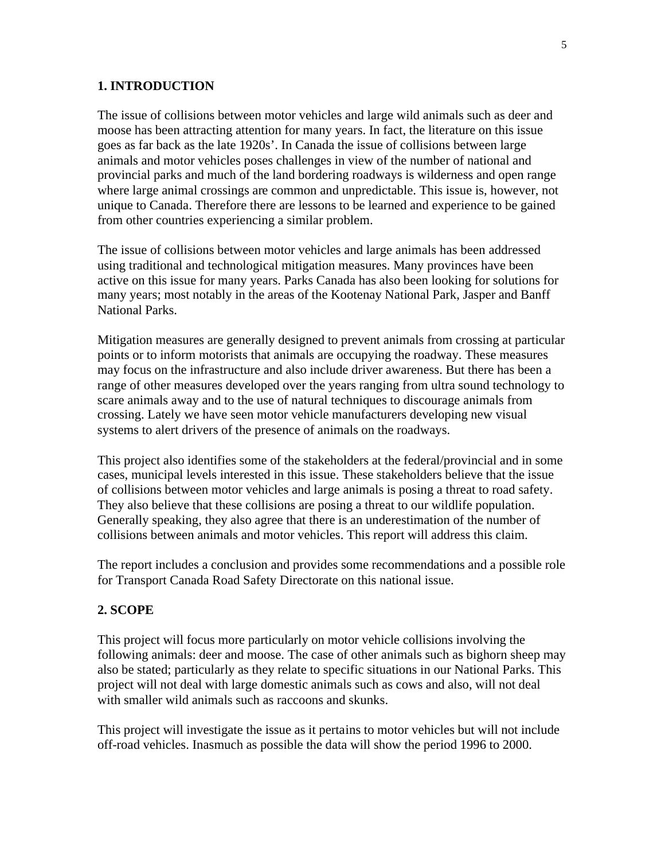### **1. INTRODUCTION**

The issue of collisions between motor vehicles and large wild animals such as deer and moose has been attracting attention for many years. In fact, the literature on this issue goes as far back as the late 1920s'. In Canada the issue of collisions between large animals and motor vehicles poses challenges in view of the number of national and provincial parks and much of the land bordering roadways is wilderness and open range where large animal crossings are common and unpredictable. This issue is, however, not unique to Canada. Therefore there are lessons to be learned and experience to be gained from other countries experiencing a similar problem.

The issue of collisions between motor vehicles and large animals has been addressed using traditional and technological mitigation measures. Many provinces have been active on this issue for many years. Parks Canada has also been looking for solutions for many years; most notably in the areas of the Kootenay National Park, Jasper and Banff National Parks.

Mitigation measures are generally designed to prevent animals from crossing at particular points or to inform motorists that animals are occupying the roadway. These measures may focus on the infrastructure and also include driver awareness. But there has been a range of other measures developed over the years ranging from ultra sound technology to scare animals away and to the use of natural techniques to discourage animals from crossing. Lately we have seen motor vehicle manufacturers developing new visual systems to alert drivers of the presence of animals on the roadways.

This project also identifies some of the stakeholders at the federal/provincial and in some cases, municipal levels interested in this issue. These stakeholders believe that the issue of collisions between motor vehicles and large animals is posing a threat to road safety. They also believe that these collisions are posing a threat to our wildlife population. Generally speaking, they also agree that there is an underestimation of the number of collisions between animals and motor vehicles. This report will address this claim.

The report includes a conclusion and provides some recommendations and a possible role for Transport Canada Road Safety Directorate on this national issue.

### **2. SCOPE**

This project will focus more particularly on motor vehicle collisions involving the following animals: deer and moose. The case of other animals such as bighorn sheep may also be stated; particularly as they relate to specific situations in our National Parks. This project will not deal with large domestic animals such as cows and also, will not deal with smaller wild animals such as raccoons and skunks.

This project will investigate the issue as it pertains to motor vehicles but will not include off-road vehicles. Inasmuch as possible the data will show the period 1996 to 2000.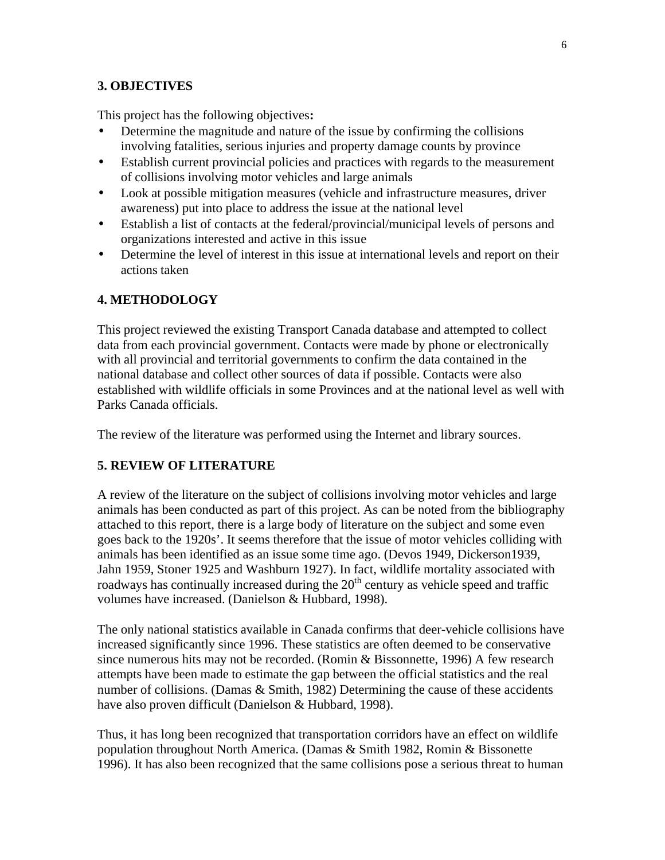### **3. OBJECTIVES**

This project has the following objectives**:**

- Determine the magnitude and nature of the issue by confirming the collisions involving fatalities, serious injuries and property damage counts by province
- Establish current provincial policies and practices with regards to the measurement of collisions involving motor vehicles and large animals
- Look at possible mitigation measures (vehicle and infrastructure measures, driver awareness) put into place to address the issue at the national level
- Establish a list of contacts at the federal/provincial/municipal levels of persons and organizations interested and active in this issue
- Determine the level of interest in this issue at international levels and report on their actions taken

## **4. METHODOLOGY**

This project reviewed the existing Transport Canada database and attempted to collect data from each provincial government. Contacts were made by phone or electronically with all provincial and territorial governments to confirm the data contained in the national database and collect other sources of data if possible. Contacts were also established with wildlife officials in some Provinces and at the national level as well with Parks Canada officials.

The review of the literature was performed using the Internet and library sources.

### **5. REVIEW OF LITERATURE**

A review of the literature on the subject of collisions involving motor vehicles and large animals has been conducted as part of this project. As can be noted from the bibliography attached to this report, there is a large body of literature on the subject and some even goes back to the 1920s'. It seems therefore that the issue of motor vehicles colliding with animals has been identified as an issue some time ago. (Devos 1949, Dickerson1939, Jahn 1959, Stoner 1925 and Washburn 1927). In fact, wildlife mortality associated with roadways has continually increased during the  $20<sup>th</sup>$  century as vehicle speed and traffic volumes have increased. (Danielson & Hubbard, 1998).

The only national statistics available in Canada confirms that deer-vehicle collisions have increased significantly since 1996. These statistics are often deemed to be conservative since numerous hits may not be recorded. (Romin & Bissonnette, 1996) A few research attempts have been made to estimate the gap between the official statistics and the real number of collisions. (Damas  $\&$  Smith, 1982) Determining the cause of these accidents have also proven difficult (Danielson & Hubbard, 1998).

Thus, it has long been recognized that transportation corridors have an effect on wildlife population throughout North America. (Damas & Smith 1982, Romin & Bissonette 1996). It has also been recognized that the same collisions pose a serious threat to human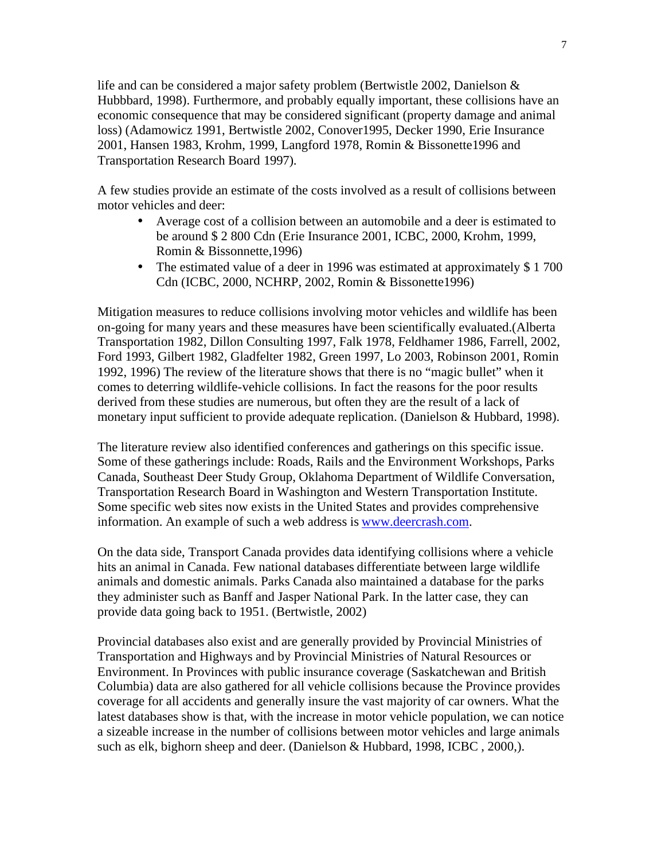life and can be considered a major safety problem (Bertwistle 2002, Danielson & Hubbbard, 1998). Furthermore, and probably equally important, these collisions have an economic consequence that may be considered significant (property damage and animal loss) (Adamowicz 1991, Bertwistle 2002, Conover1995, Decker 1990, Erie Insurance 2001, Hansen 1983, Krohm, 1999, Langford 1978, Romin & Bissonette1996 and Transportation Research Board 1997).

A few studies provide an estimate of the costs involved as a result of collisions between motor vehicles and deer:

- Average cost of a collision between an automobile and a deer is estimated to be around \$ 2 800 Cdn (Erie Insurance 2001, ICBC, 2000, Krohm, 1999, Romin & Bissonnette,1996)
- The estimated value of a deer in 1996 was estimated at approximately \$1700 Cdn (ICBC, 2000, NCHRP, 2002, Romin & Bissonette1996)

Mitigation measures to reduce collisions involving motor vehicles and wildlife has been on-going for many years and these measures have been scientifically evaluated.(Alberta Transportation 1982, Dillon Consulting 1997, Falk 1978, Feldhamer 1986, Farrell, 2002, Ford 1993, Gilbert 1982, Gladfelter 1982, Green 1997, Lo 2003, Robinson 2001, Romin 1992, 1996) The review of the literature shows that there is no "magic bullet" when it comes to deterring wildlife-vehicle collisions. In fact the reasons for the poor results derived from these studies are numerous, but often they are the result of a lack of monetary input sufficient to provide adequate replication. (Danielson & Hubbard, 1998).

The literature review also identified conferences and gatherings on this specific issue. Some of these gatherings include: Roads, Rails and the Environment Workshops, Parks Canada, Southeast Deer Study Group, Oklahoma Department of Wildlife Conversation, Transportation Research Board in Washington and Western Transportation Institute. Some specific web sites now exists in the United States and provides comprehensive information. An example of such a web address is www.deercrash.com.

On the data side, Transport Canada provides data identifying collisions where a vehicle hits an animal in Canada. Few national databases differentiate between large wildlife animals and domestic animals. Parks Canada also maintained a database for the parks they administer such as Banff and Jasper National Park. In the latter case, they can provide data going back to 1951. (Bertwistle, 2002)

Provincial databases also exist and are generally provided by Provincial Ministries of Transportation and Highways and by Provincial Ministries of Natural Resources or Environment. In Provinces with public insurance coverage (Saskatchewan and British Columbia) data are also gathered for all vehicle collisions because the Province provides coverage for all accidents and generally insure the vast majority of car owners. What the latest databases show is that, with the increase in motor vehicle population, we can notice a sizeable increase in the number of collisions between motor vehicles and large animals such as elk, bighorn sheep and deer. (Danielson & Hubbard, 1998, ICBC, 2000,).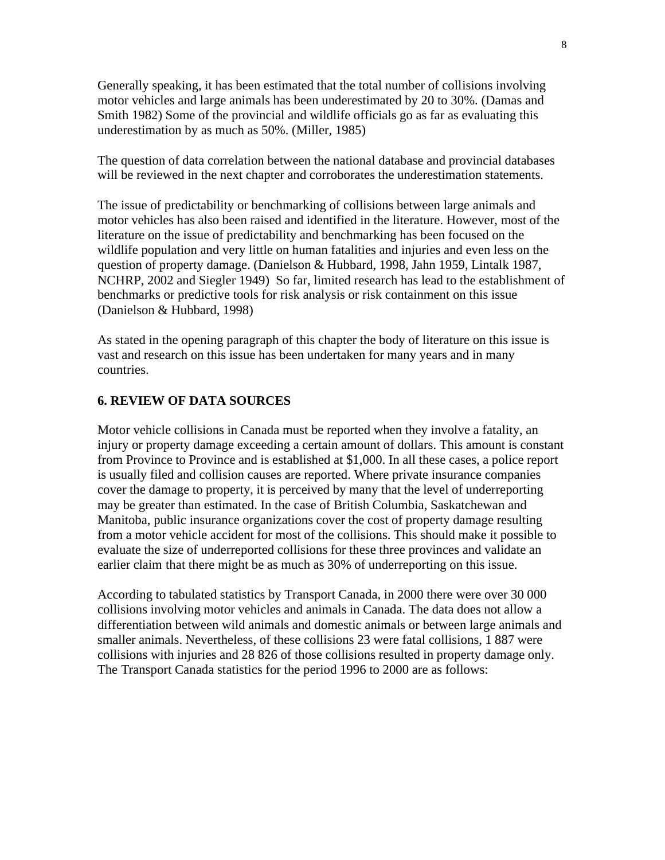Generally speaking, it has been estimated that the total number of collisions involving motor vehicles and large animals has been underestimated by 20 to 30%. (Damas and Smith 1982) Some of the provincial and wildlife officials go as far as evaluating this underestimation by as much as 50%. (Miller, 1985)

The question of data correlation between the national database and provincial databases will be reviewed in the next chapter and corroborates the underestimation statements.

The issue of predictability or benchmarking of collisions between large animals and motor vehicles has also been raised and identified in the literature. However, most of the literature on the issue of predictability and benchmarking has been focused on the wildlife population and very little on human fatalities and injuries and even less on the question of property damage. (Danielson & Hubbard, 1998, Jahn 1959, Lintalk 1987, NCHRP, 2002 and Siegler 1949) So far, limited research has lead to the establishment of benchmarks or predictive tools for risk analysis or risk containment on this issue (Danielson & Hubbard, 1998)

As stated in the opening paragraph of this chapter the body of literature on this issue is vast and research on this issue has been undertaken for many years and in many countries.

#### **6. REVIEW OF DATA SOURCES**

Motor vehicle collisions in Canada must be reported when they involve a fatality, an injury or property damage exceeding a certain amount of dollars. This amount is constant from Province to Province and is established at \$1,000. In all these cases, a police report is usually filed and collision causes are reported. Where private insurance companies cover the damage to property, it is perceived by many that the level of underreporting may be greater than estimated. In the case of British Columbia, Saskatchewan and Manitoba, public insurance organizations cover the cost of property damage resulting from a motor vehicle accident for most of the collisions. This should make it possible to evaluate the size of underreported collisions for these three provinces and validate an earlier claim that there might be as much as 30% of underreporting on this issue.

According to tabulated statistics by Transport Canada, in 2000 there were over 30 000 collisions involving motor vehicles and animals in Canada. The data does not allow a differentiation between wild animals and domestic animals or between large animals and smaller animals. Nevertheless, of these collisions 23 were fatal collisions, 1 887 were collisions with injuries and 28 826 of those collisions resulted in property damage only. The Transport Canada statistics for the period 1996 to 2000 are as follows: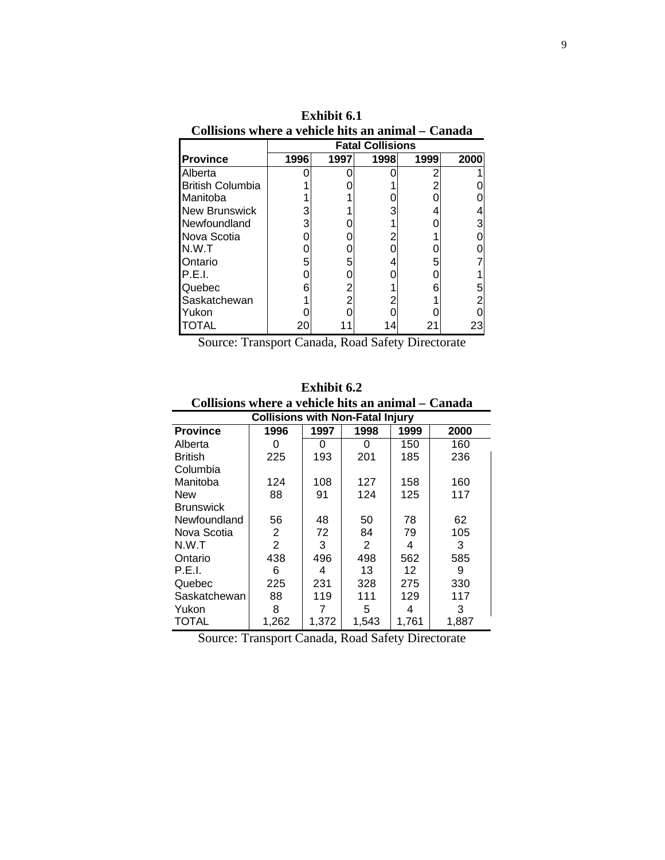|                         | линяция мнеге а те<br>ь ан анниан |      |      |      |      |  |
|-------------------------|-----------------------------------|------|------|------|------|--|
|                         | <b>Fatal Collisions</b>           |      |      |      |      |  |
| <b>Province</b>         | 1996                              | 1997 | 1998 | 1999 | 2000 |  |
| Alberta                 |                                   |      |      |      |      |  |
| <b>British Columbia</b> |                                   |      |      |      |      |  |
| Manitoba                |                                   |      |      |      |      |  |
| <b>New Brunswick</b>    | 3                                 |      |      |      |      |  |
| Newfoundland            | 3                                 |      |      |      |      |  |
| Nova Scotia             |                                   |      |      |      |      |  |
| N.W.T                   |                                   |      |      |      |      |  |
| Ontario                 | 5                                 |      |      |      |      |  |
| P.E.I.                  |                                   |      |      |      |      |  |
| Quebec                  |                                   |      |      |      |      |  |
| Saskatchewan            |                                   |      |      |      |      |  |
| Yukon                   |                                   |      |      |      |      |  |
| OTAL                    | 20                                |      |      |      | 23   |  |

**Exhibit 6.1 Collisions where a vehicle hits an animal – Canada**

Source: Transport Canada, Road Safety Directorate

| <b>Exhibit 6.2</b> |  |
|--------------------|--|
|--------------------|--|

| Collisions where a vehicle hits an animal – Canada |                                         |       |       |       |       |
|----------------------------------------------------|-----------------------------------------|-------|-------|-------|-------|
|                                                    | <b>Collisions with Non-Fatal Injury</b> |       |       |       |       |
| <b>Province</b>                                    | 1996                                    | 1997  | 1998  | 1999  | 2000  |
| Alberta                                            | O                                       | 0     | Ω     | 150   | 160   |
| <b>British</b>                                     | 225                                     | 193   | 201   | 185   | 236   |
| Columbia                                           |                                         |       |       |       |       |
| Manitoba                                           | 124                                     | 108   | 127   | 158   | 160   |
| <b>New</b>                                         | 88                                      | 91    | 124   | 125   | 117   |
| <b>Brunswick</b>                                   |                                         |       |       |       |       |
| Newfoundland                                       | 56                                      | 48    | 50    | 78    | 62    |
| Nova Scotia                                        | 2                                       | 72    | 84    | 79    | 105   |
| N.W.T                                              | 2                                       | 3     | 2     | 4     | 3     |
| Ontario                                            | 438                                     | 496   | 498   | 562   | 585   |
| P.E.I.                                             | 6                                       | 4     | 13    | 12    | 9     |
| Quebec                                             | 225                                     | 231   | 328   | 275   | 330   |
| Saskatchewan                                       | 88                                      | 119   | 111   | 129   | 117   |
| Yukon                                              | 8                                       |       | 5     | 4     | 3     |
| TOTAL                                              | 1.262                                   | 1.372 | 1,543 | 1.761 | 1,887 |

Source: Transport Canada, Road Safety Directorate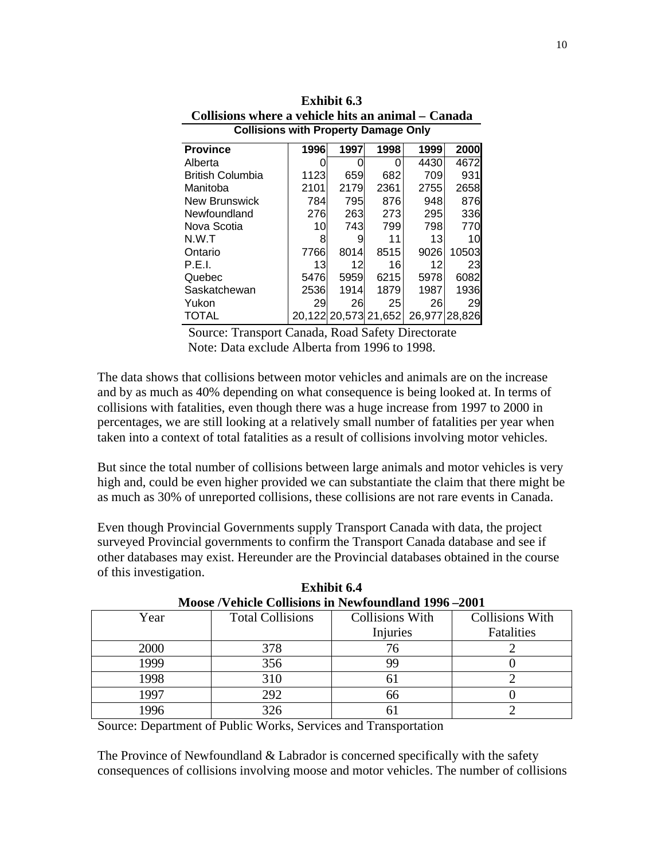| <b>Collisions with Property Damage Only</b> |      |      |                      |               |       |  |  |
|---------------------------------------------|------|------|----------------------|---------------|-------|--|--|
| <b>Province</b>                             | 1996 | 1997 | 1998                 | 1999          | 2000  |  |  |
| Alberta                                     |      |      |                      | 4430          | 4672  |  |  |
| <b>British Columbia</b>                     | 1123 | 659  | 682                  | 709           | 931   |  |  |
| Manitoba                                    | 2101 | 2179 | 2361                 | 2755          | 2658  |  |  |
| <b>New Brunswick</b>                        | 784  | 795  | 876                  | 948           | 876   |  |  |
| Newfoundland                                | 276  | 263  | 273                  | 295           | 336   |  |  |
| Nova Scotia                                 | 10   | 743  | 799                  | 798           | 770   |  |  |
| N.W.T                                       | 8    | 9    | 11                   | 13            | 10    |  |  |
| Ontario                                     | 7766 | 8014 | 8515                 | 9026          | 10503 |  |  |
| P.E.I.                                      | 13   | 12   | 16                   | 12            | 23    |  |  |
| Quebec                                      | 5476 | 5959 | 6215                 | 5978          | 6082  |  |  |
| Saskatchewan                                | 2536 | 1914 | 1879                 | 1987          | 1936  |  |  |
| Yukon                                       | 29   | 26   | 25                   | 26            | 29    |  |  |
| TOTAL                                       |      |      | 20.122 20.573 21,652 | 26,977 28,826 |       |  |  |

**Exhibit 6.3 Collisions where a vehicle hits an animal – Canada**

 Source: Transport Canada, Road Safety Directorate Note: Data exclude Alberta from 1996 to 1998.

The data shows that collisions between motor vehicles and animals are on the increase and by as much as 40% depending on what consequence is being looked at. In terms of collisions with fatalities, even though there was a huge increase from 1997 to 2000 in percentages, we are still looking at a relatively small number of fatalities per year when taken into a context of total fatalities as a result of collisions involving motor vehicles.

But since the total number of collisions between large animals and motor vehicles is very high and, could be even higher provided we can substantiate the claim that there might be as much as 30% of unreported collisions, these collisions are not rare events in Canada.

Even though Provincial Governments supply Transport Canada with data, the project surveyed Provincial governments to confirm the Transport Canada database and see if other databases may exist. Hereunder are the Provincial databases obtained in the course of this investigation.

| <b>NOUSE</b> / VEHICLE COMSIONS IN NEWIQUIIQUATION 1990 –2001 |                         |                        |                 |  |  |
|---------------------------------------------------------------|-------------------------|------------------------|-----------------|--|--|
| Year                                                          | <b>Total Collisions</b> | <b>Collisions With</b> | Collisions With |  |  |
|                                                               |                         | Injuries               | Fatalities      |  |  |
| 2000                                                          | 378                     |                        |                 |  |  |
| 1999                                                          | 356                     | 99                     |                 |  |  |
| 1998                                                          | 310                     | n.                     |                 |  |  |
| 1997                                                          | 292                     | 66                     |                 |  |  |
| .996                                                          | 326                     |                        |                 |  |  |

**Exhibit 6.4 Moose /Vehicle Collisions in Newfoundland 1996 –2001**

Source: Department of Public Works, Services and Transportation

The Province of Newfoundland & Labrador is concerned specifically with the safety consequences of collisions involving moose and motor vehicles. The number of collisions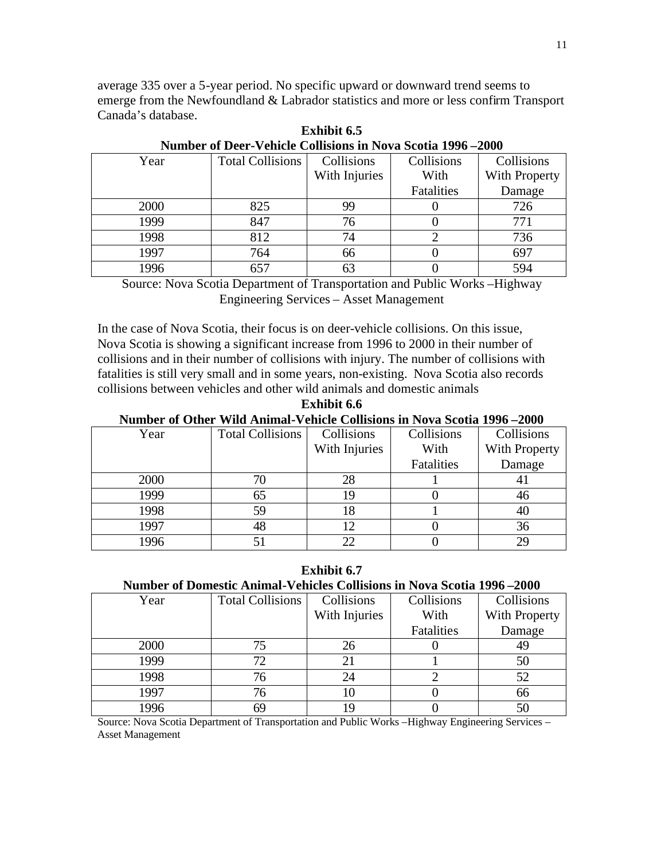average 335 over a 5-year period. No specific upward or downward trend seems to emerge from the Newfoundland & Labrador statistics and more or less confirm Transport Canada's database.

| Year | <b>Total Collisions</b> | Collisions    | Collisions | Collisions    |
|------|-------------------------|---------------|------------|---------------|
|      |                         | With Injuries | With       | With Property |
|      |                         |               | Fatalities | Damage        |
| 2000 | 825                     | 99            |            | 726           |
| 1999 | 847                     | 76            |            | 771           |
| 1998 | 812                     | 74            |            | 736           |
| 1997 | 764                     | 66            |            | 697           |
| 1996 | 657                     | 63            |            | 594           |

**Exhibit 6.5 Number of Deer-Vehicle Collisions in Nova Scotia 1996 –2000**

Source: Nova Scotia Department of Transportation and Public Works –Highway Engineering Services – Asset Management

In the case of Nova Scotia, their focus is on deer-vehicle collisions. On this issue, Nova Scotia is showing a significant increase from 1996 to 2000 in their number of collisions and in their number of collisions with injury. The number of collisions with fatalities is still very small and in some years, non-existing. Nova Scotia also records collisions between vehicles and other wild animals and domestic animals

**Exhibit 6.6 Number of Other Wild Animal-Vehicle Collisions in Nova Scotia 1996 –2000**

| $\ldots$ | $\cdots$ and a samaring $\cdots$ various communications and $\cdots$ . We provide a fixed |               |            |               |
|----------|-------------------------------------------------------------------------------------------|---------------|------------|---------------|
| Year     | <b>Total Collisions</b>                                                                   | Collisions    | Collisions | Collisions    |
|          |                                                                                           | With Injuries | With       | With Property |
|          |                                                                                           |               | Fatalities | Damage        |
| 2000     | 76                                                                                        | 28            |            |               |
| 1999     | 65                                                                                        | 19            |            | 46            |
| 1998     | 59                                                                                        | 18            |            | 40            |
| 1997     | 48                                                                                        |               |            | 36            |
| 1996     | 51                                                                                        | つつ            |            | 29            |

**Exhibit 6.7 Number of Domestic Animal-Vehicles Collisions in Nova Scotia 1996 –2000**

| Year | <b>Total Collisions</b> | Collisions    | Collisions | Collisions    |
|------|-------------------------|---------------|------------|---------------|
|      |                         | With Injuries | With       | With Property |
|      |                         |               | Fatalities | Damage        |
| 2000 | 75                      | 26            |            | 49            |
| 1999 | 72.                     | 21            |            | 50            |
| 1998 | 76                      | 24            |            | 52            |
| 1997 | 76                      | 10            |            | 66            |
| 1996 | 69                      | 19            |            | 50            |
|      |                         |               |            |               |

Source: Nova Scotia Department of Transportation and Public Works –Highway Engineering Services – Asset Management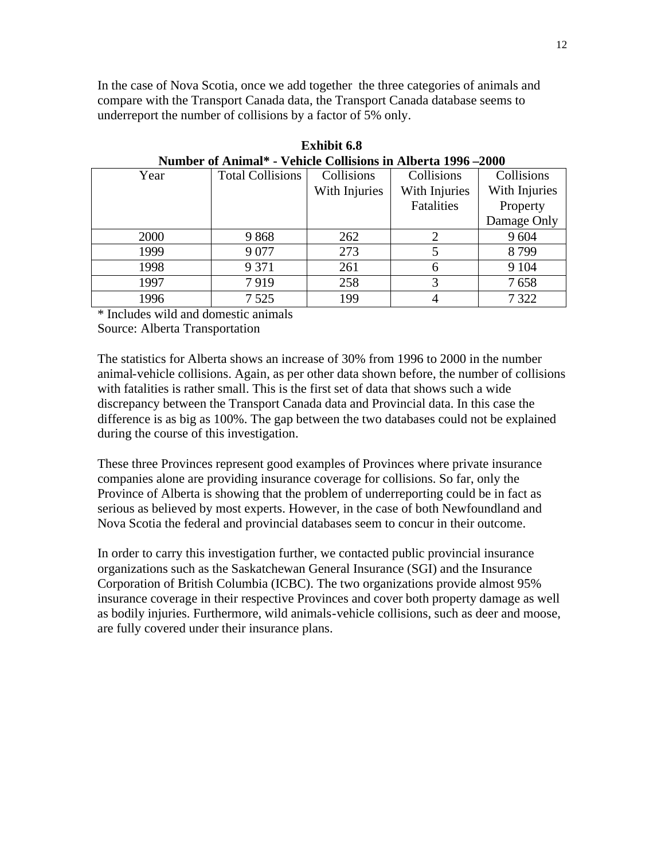In the case of Nova Scotia, once we add together the three categories of animals and compare with the Transport Canada data, the Transport Canada database seems to underreport the number of collisions by a factor of 5% only.

| THURDER OF TEMPLO<br><u>CHICK COMBIONS IN THUCH (A 1770 - 2000</u> |                         |               |               |               |  |
|--------------------------------------------------------------------|-------------------------|---------------|---------------|---------------|--|
| Year                                                               | <b>Total Collisions</b> | Collisions    | Collisions    | Collisions    |  |
|                                                                    |                         | With Injuries | With Injuries | With Injuries |  |
|                                                                    |                         |               | Fatalities    | Property      |  |
|                                                                    |                         |               |               | Damage Only   |  |
| 2000                                                               | 9868                    | 262           |               | 9604          |  |
| 1999                                                               | 9077                    | 273           |               | 8799          |  |
| 1998                                                               | 9 3 7 1                 | 261           | 6             | 9 1 0 4       |  |
| 1997                                                               | 7919                    | 258           | 3             | 7658          |  |
| 1996                                                               | 7 5 2 5                 | 199           | 4             | 7 3 2 2       |  |
|                                                                    |                         |               |               |               |  |

**Exhibit 6.8 Number of Animal\* - Vehicle Collisions in Alberta 1996 –2000**

\* Includes wild and domestic animals

Source: Alberta Transportation

The statistics for Alberta shows an increase of 30% from 1996 to 2000 in the number animal-vehicle collisions. Again, as per other data shown before, the number of collisions with fatalities is rather small. This is the first set of data that shows such a wide discrepancy between the Transport Canada data and Provincial data. In this case the difference is as big as 100%. The gap between the two databases could not be explained during the course of this investigation.

These three Provinces represent good examples of Provinces where private insurance companies alone are providing insurance coverage for collisions. So far, only the Province of Alberta is showing that the problem of underreporting could be in fact as serious as believed by most experts. However, in the case of both Newfoundland and Nova Scotia the federal and provincial databases seem to concur in their outcome.

In order to carry this investigation further, we contacted public provincial insurance organizations such as the Saskatchewan General Insurance (SGI) and the Insurance Corporation of British Columbia (ICBC). The two organizations provide almost 95% insurance coverage in their respective Provinces and cover both property damage as well as bodily injuries. Furthermore, wild animals-vehicle collisions, such as deer and moose, are fully covered under their insurance plans.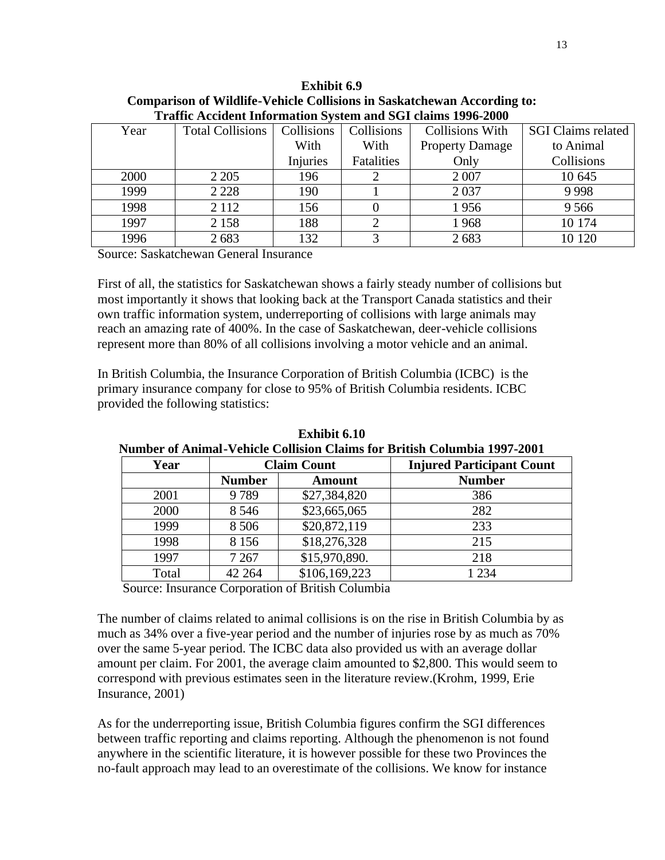|      | Train received into the control of second and $\beta$ of changes $1/76$ Tool |            |            |                        |                    |  |  |  |
|------|------------------------------------------------------------------------------|------------|------------|------------------------|--------------------|--|--|--|
| Year | <b>Total Collisions</b>                                                      | Collisions | Collisions | <b>Collisions With</b> | SGI Claims related |  |  |  |
|      |                                                                              | With       | With       | <b>Property Damage</b> | to Animal          |  |  |  |
|      |                                                                              | Injuries   | Fatalities | Only                   | Collisions         |  |  |  |
| 2000 | 2 2 0 5                                                                      | 196        |            | 2 0 0 7                | 10 645             |  |  |  |
| 1999 | 2 2 2 8                                                                      | 190        |            | 2 0 3 7                | 9998               |  |  |  |
| 1998 | 2 1 1 2                                                                      | 156        |            | 1956                   | 9566               |  |  |  |
| 1997 | 2 1 5 8                                                                      | 188        |            | 1968                   | 10 174             |  |  |  |
| 1996 | 2683                                                                         | 132        |            | 2683                   | 10 120             |  |  |  |

**Exhibit 6.9 Comparison of Wildlife-Vehicle Collisions in Saskatchewan According to: Traffic Accident Information System and SGI claims 1996-2000**

Source: Saskatchewan General Insurance

First of all, the statistics for Saskatchewan shows a fairly steady number of collisions but most importantly it shows that looking back at the Transport Canada statistics and their own traffic information system, underreporting of collisions with large animals may reach an amazing rate of 400%. In the case of Saskatchewan, deer-vehicle collisions represent more than 80% of all collisions involving a motor vehicle and an animal.

In British Columbia, the Insurance Corporation of British Columbia (ICBC) is the primary insurance company for close to 95% of British Columbia residents. ICBC provided the following statistics:

| Year  |               | <b>Claim Count</b> | <b>Injured Participant Count</b> |
|-------|---------------|--------------------|----------------------------------|
|       | <b>Number</b> | <b>Amount</b>      | <b>Number</b>                    |
| 2001  | 9789          | \$27,384,820       | 386                              |
| 2000  | 8 5 4 6       | \$23,665,065       | 282                              |
| 1999  | 8 5 0 6       | \$20,872,119       | 233                              |
| 1998  | 8 1 5 6       | \$18,276,328       | 215                              |
| 1997  | 7 2 6 7       | \$15,970,890.      | 218                              |
| Total | 42 264        | \$106,169,223      | 1 2 3 4                          |

**Exhibit 6.10 Number of Animal-Vehicle Collision Claims for British Columbia 1997-2001**

Source: Insurance Corporation of British Columbia

The number of claims related to animal collisions is on the rise in British Columbia by as much as 34% over a five-year period and the number of injuries rose by as much as 70% over the same 5-year period. The ICBC data also provided us with an average dollar amount per claim. For 2001, the average claim amounted to \$2,800. This would seem to correspond with previous estimates seen in the literature review.(Krohm, 1999, Erie Insurance, 2001)

As for the underreporting issue, British Columbia figures confirm the SGI differences between traffic reporting and claims reporting. Although the phenomenon is not found anywhere in the scientific literature, it is however possible for these two Provinces the no-fault approach may lead to an overestimate of the collisions. We know for instance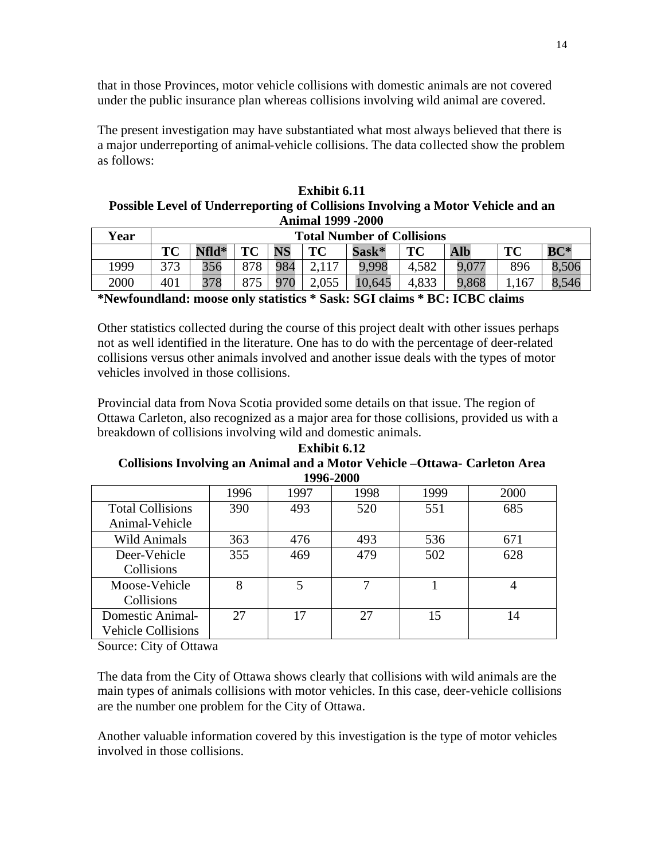that in those Provinces, motor vehicle collisions with domestic animals are not covered under the public insurance plan whereas collisions involving wild animal are covered.

The present investigation may have substantiated what most always believed that there is a major underreporting of animal-vehicle collisions. The data collected show the problem as follows:

**Exhibit 6.11 Possible Level of Underreporting of Collisions Involving a Motor Vehicle and an Animal 1999 -2000**

| Year |     | <b>Total Number of Collisions</b> |     |           |       |        |       |            |                           |        |
|------|-----|-----------------------------------|-----|-----------|-------|--------|-------|------------|---------------------------|--------|
|      | TC  | Nfld*                             | TC  | <b>NS</b> | TC    | Sask*  | TC    | <b>Alb</b> | $\mathbf{T}$ $\mathbf{C}$ | $BC^*$ |
| 1999 | 373 | 356                               | 878 | 984       | 2117  | 9,998  | 4,582 | 9,077      | 896                       | 8,506  |
| 2000 | 401 | 378                               | 875 | 970       | 2,055 | 10,645 | 4,833 | 9,868      | .167                      | 8,546  |

**\*Newfoundland: moose only statistics \* Sask: SGI claims \* BC: ICBC claims**

Other statistics collected during the course of this project dealt with other issues perhaps not as well identified in the literature. One has to do with the percentage of deer-related collisions versus other animals involved and another issue deals with the types of motor vehicles involved in those collisions.

Provincial data from Nova Scotia provided some details on that issue. The region of Ottawa Carleton, also recognized as a major area for those collisions, provided us with a breakdown of collisions involving wild and domestic animals.

**Exhibit 6.12 Collisions Involving an Animal and a Motor Vehicle –Ottawa- Carleton Area 1996-2000**

| 1996 | 1997 | 1998 | 1999 | 2000 |
|------|------|------|------|------|
| 390  | 493  | 520  | 551  | 685  |
|      |      |      |      |      |
| 363  | 476  | 493  | 536  | 671  |
| 355  | 469  | 479  | 502  | 628  |
|      |      |      |      |      |
|      |      |      |      |      |
|      |      |      |      |      |
| 27   | 17   | 27   | 15   | 14   |
|      |      |      |      |      |
|      |      |      |      |      |

Source: City of Ottawa

The data from the City of Ottawa shows clearly that collisions with wild animals are the main types of animals collisions with motor vehicles. In this case, deer-vehicle collisions are the number one problem for the City of Ottawa.

Another valuable information covered by this investigation is the type of motor vehicles involved in those collisions.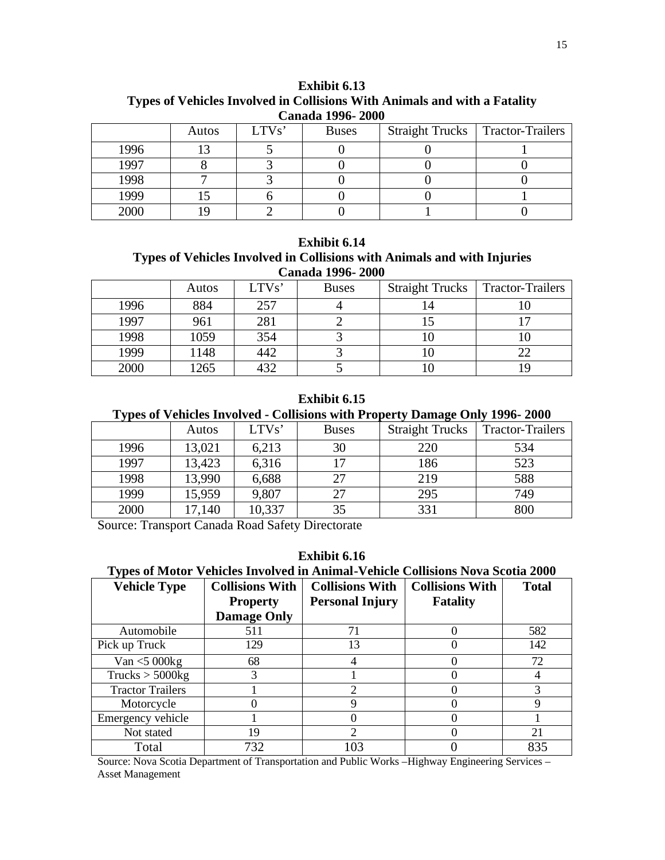| Canada 1990- 2000 |       |       |              |  |                                    |  |  |
|-------------------|-------|-------|--------------|--|------------------------------------|--|--|
|                   | Autos | LTVs' | <b>Buses</b> |  | Straight Trucks   Tractor-Trailers |  |  |
| 1996              |       |       |              |  |                                    |  |  |
| 1997              |       |       |              |  |                                    |  |  |
| 1998              |       |       |              |  |                                    |  |  |
| 1999              |       |       |              |  |                                    |  |  |
| 2000              |       |       |              |  |                                    |  |  |

**Exhibit 6.13 Types of Vehicles Involved in Collisions With Animals and with a Fatality Canada 1996- 2000**

#### **Exhibit 6.14 Types of Vehicles Involved in Collisions with Animals and with Injuries Canada 1996- 2000**

| Canaga 1990- 2000 |       |       |              |                        |                         |  |  |
|-------------------|-------|-------|--------------|------------------------|-------------------------|--|--|
|                   | Autos | LTVs' | <b>Buses</b> | <b>Straight Trucks</b> | <b>Tractor-Trailers</b> |  |  |
| 1996              | 884   | 257   |              | 14                     |                         |  |  |
| 1997              | 961   | 281   |              |                        |                         |  |  |
| 1998              | 1059  | 354   |              |                        |                         |  |  |
| 1999              | 1148  | 442   |              |                        |                         |  |  |
| 2000              | 265   |       |              |                        |                         |  |  |

### **Exhibit 6.15**

### **Types of Vehicles Involved - Collisions with Property Damage Only 1996- 2000**

|      | Autos  | LTVs'  | <b>Buses</b> | <b>Straight Trucks</b> | <b>Tractor-Trailers</b> |
|------|--------|--------|--------------|------------------------|-------------------------|
| 1996 | 13,021 | 6,213  | 30           | 220                    | 534                     |
| 1997 | 13,423 | 6,316  | 17           | 186                    | 523                     |
| 1998 | 13,990 | 6,688  | 27           | 219                    | 588                     |
| 1999 | 15,959 | 9,807  | 27           | 295                    | 749                     |
| 2000 | 17,140 | 10,337 | 35           | 331                    | 800                     |

Source: Transport Canada Road Safety Directorate

## **Exhibit 6.16**

**Types of Motor Vehicles Involved in Animal-Vehicle Collisions Nova Scotia 2000**

| <b>Vehicle Type</b>     | <b>Collisions With</b> | <b>Collisions With</b> | <b>Collisions With</b> | <b>Total</b> |
|-------------------------|------------------------|------------------------|------------------------|--------------|
|                         | <b>Property</b>        | <b>Personal Injury</b> | <b>Fatality</b>        |              |
|                         | <b>Damage Only</b>     |                        |                        |              |
| Automobile              | 511                    | 71                     | $\Omega$               | 582          |
| Pick up Truck           | 129                    | 13                     |                        | 142          |
| Van $<$ 5 000 $kg$      | 68                     | 4                      | $\mathbf{\Omega}$      | 72           |
| Trucks > 5000kg         | 3                      |                        | $\mathbf{\Omega}$      |              |
| <b>Tractor Trailers</b> |                        | 2                      | $\theta$               |              |
| Motorcycle              |                        | Q                      | $\Omega$               |              |
| Emergency vehicle       |                        |                        | $\mathbf{\Omega}$      |              |
| Not stated              | 19                     | ി                      | $\mathbf{\Omega}$      | 21           |
| Total                   | 732                    | 103                    |                        | 835          |

Source: Nova Scotia Department of Transportation and Public Works –Highway Engineering Services – Asset Management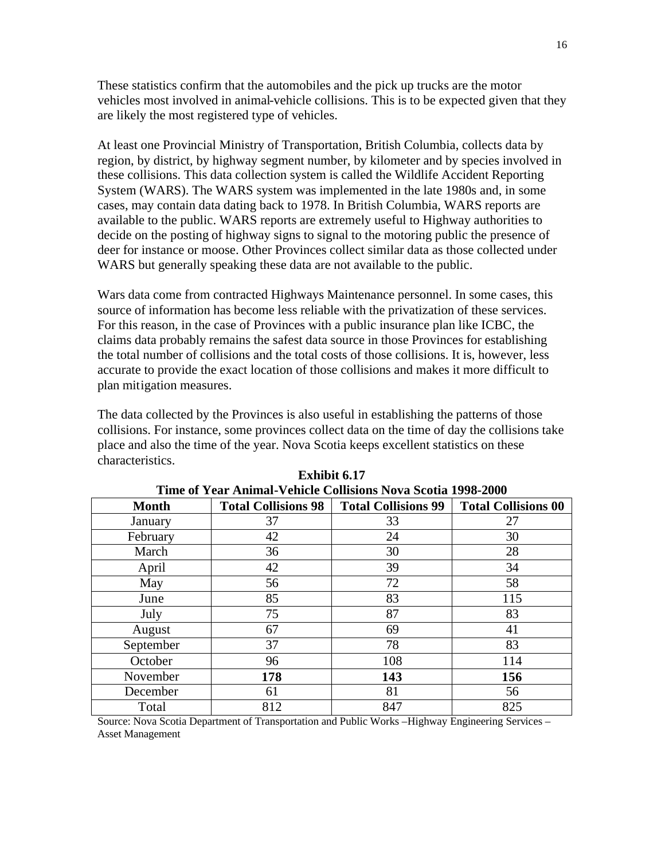These statistics confirm that the automobiles and the pick up trucks are the motor vehicles most involved in animal-vehicle collisions. This is to be expected given that they are likely the most registered type of vehicles.

At least one Provincial Ministry of Transportation, British Columbia, collects data by region, by district, by highway segment number, by kilometer and by species involved in these collisions. This data collection system is called the Wildlife Accident Reporting System (WARS). The WARS system was implemented in the late 1980s and, in some cases, may contain data dating back to 1978. In British Columbia, WARS reports are available to the public. WARS reports are extremely useful to Highway authorities to decide on the posting of highway signs to signal to the motoring public the presence of deer for instance or moose. Other Provinces collect similar data as those collected under WARS but generally speaking these data are not available to the public.

Wars data come from contracted Highways Maintenance personnel. In some cases, this source of information has become less reliable with the privatization of these services. For this reason, in the case of Provinces with a public insurance plan like ICBC, the claims data probably remains the safest data source in those Provinces for establishing the total number of collisions and the total costs of those collisions. It is, however, less accurate to provide the exact location of those collisions and makes it more difficult to plan mitigation measures.

The data collected by the Provinces is also useful in establishing the patterns of those collisions. For instance, some provinces collect data on the time of day the collisions take place and also the time of the year. Nova Scotia keeps excellent statistics on these characteristics.

| Time of Year Animal-Venicle Collisions Nova Scotla 1998-2000 |                            |                                 |                            |  |  |  |  |
|--------------------------------------------------------------|----------------------------|---------------------------------|----------------------------|--|--|--|--|
| <b>Month</b>                                                 | <b>Total Collisions 98</b> | <b>Total Collisions 99</b>      | <b>Total Collisions 00</b> |  |  |  |  |
| January                                                      | 37                         | 33                              | 27                         |  |  |  |  |
| February                                                     | 42                         | 24                              | 30                         |  |  |  |  |
| March                                                        | 36                         | 30                              | 28                         |  |  |  |  |
| April                                                        | 42                         | 39                              | 34                         |  |  |  |  |
| May                                                          | 56                         | 72                              | 58                         |  |  |  |  |
| June                                                         | 85                         | 83                              | 115                        |  |  |  |  |
| July                                                         | 75                         | 87                              | 83                         |  |  |  |  |
| August                                                       | 67                         | 69                              | 41                         |  |  |  |  |
| September                                                    | 37                         | 78                              | 83                         |  |  |  |  |
| October                                                      | 96                         | 108                             | 114                        |  |  |  |  |
| November                                                     | 178                        | 143                             | 156                        |  |  |  |  |
| December                                                     | 61                         | 81                              | 56                         |  |  |  |  |
| Total                                                        | 812                        | 847                             | 825                        |  |  |  |  |
| $\cdots$<br>$\sim$<br>$\mathbf{r}$<br>$\sim$                 | $\sim$ m                   | 1.72.11.11.11.1<br><b>TT' 1</b> | $\blacksquare$<br>$\sim$   |  |  |  |  |

**Exhibit 6.17 Time of Year Animal-Vehicle Collisions Nova Scotia 1998-2000**

Source: Nova Scotia Department of Transportation and Public Works –Highway Engineering Services – Asset Management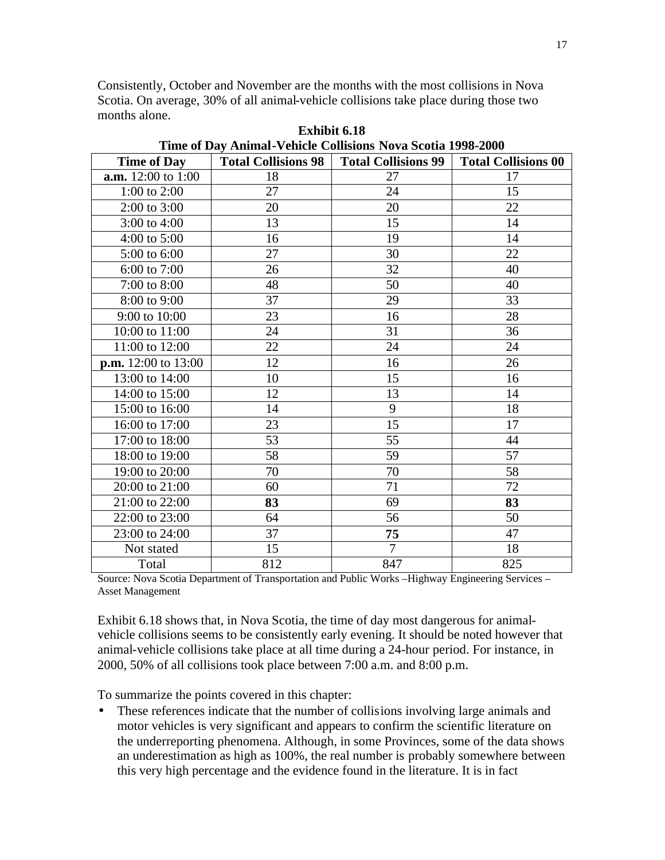Consistently, October and November are the months with the most collisions in Nova Scotia. On average, 30% of all animal-vehicle collisions take place during those two months alone.

| <b>Time of Day</b>        | <b>Total Collisions 98</b> | <b>Total Collisions 99</b> | <b>Total Collisions 00</b> |
|---------------------------|----------------------------|----------------------------|----------------------------|
| <b>a.m.</b> 12:00 to 1:00 | 18                         | 27                         | 17                         |
| 1:00 to $2:00$            | 27                         | 24                         | 15                         |
| $2:00$ to $3:00$          | 20                         | 20                         | 22                         |
| 3:00 to 4:00              | 13                         | 15                         | 14                         |
| $4:00$ to $5:00$          | 16                         | 19                         | 14                         |
| 5:00 to 6:00              | 27                         | 30                         | 22                         |
| 6:00 to 7:00              | 26                         | 32                         | 40                         |
| 7:00 to 8:00              | 48                         | 50                         | 40                         |
| 8:00 to 9:00              | 37                         | 29                         | 33                         |
| 9:00 to 10:00             | 23                         | 16                         | 28                         |
| 10:00 to 11:00            | 24                         | 31                         | 36                         |
| 11:00 to 12:00            | 22                         | 24                         | 24                         |
| $p.m. 12:00$ to 13:00     | 12                         | 16                         | 26                         |
| 13:00 to 14:00            | 10                         | 15                         | 16                         |
| 14:00 to 15:00            | 12                         | 13                         | 14                         |
| 15:00 to 16:00            | 14                         | 9                          | 18                         |
| 16:00 to 17:00            | 23                         | 15                         | 17                         |
| 17:00 to 18:00            | 53                         | 55                         | 44                         |
| 18:00 to 19:00            | 58                         | 59                         | 57                         |
| 19:00 to 20:00            | 70                         | 70                         | 58                         |
| 20:00 to 21:00            | 60                         | 71                         | 72                         |
| 21:00 to 22:00            | 83                         | 69                         | 83                         |
| 22:00 to 23:00            | 64                         | 56                         | 50                         |
| 23:00 to 24:00            | 37                         | 75                         | 47                         |
| Not stated                | 15                         | $\overline{7}$             | 18                         |
| Total                     | 812                        | 847                        | 825                        |

**Exhibit 6.18 Time of Day Animal-Vehicle Collisions Nova Scotia 1998-2000**

Source: Nova Scotia Department of Transportation and Public Works –Highway Engineering Services – Asset Management

Exhibit 6.18 shows that, in Nova Scotia, the time of day most dangerous for animalvehicle collisions seems to be consistently early evening. It should be noted however that animal-vehicle collisions take place at all time during a 24-hour period. For instance, in 2000, 50% of all collisions took place between 7:00 a.m. and 8:00 p.m.

To summarize the points covered in this chapter:

• These references indicate that the number of collisions involving large animals and motor vehicles is very significant and appears to confirm the scientific literature on the underreporting phenomena. Although, in some Provinces, some of the data shows an underestimation as high as 100%, the real number is probably somewhere between this very high percentage and the evidence found in the literature. It is in fact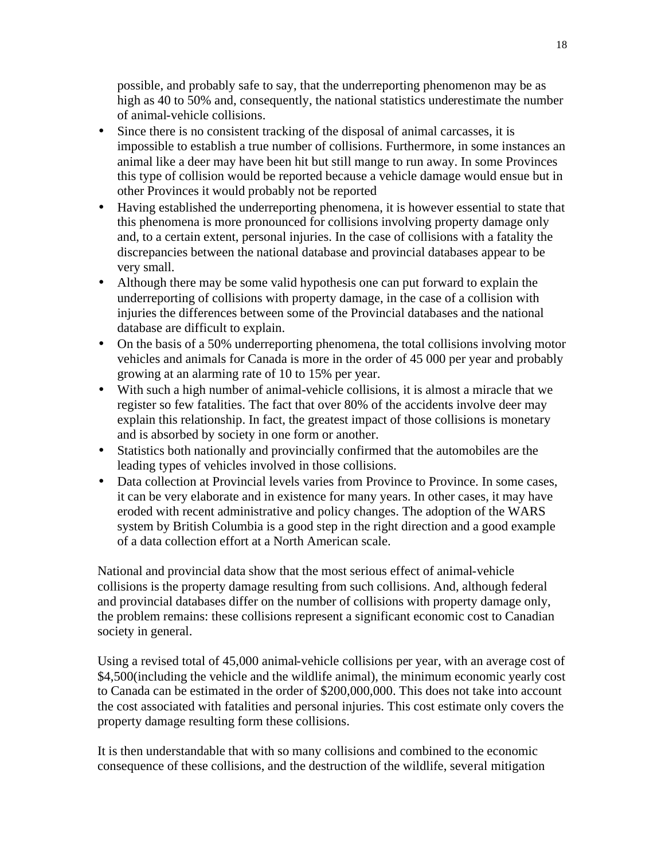possible, and probably safe to say, that the underreporting phenomenon may be as high as 40 to 50% and, consequently, the national statistics underestimate the number of animal-vehicle collisions.

- Since there is no consistent tracking of the disposal of animal carcasses, it is impossible to establish a true number of collisions. Furthermore, in some instances an animal like a deer may have been hit but still mange to run away. In some Provinces this type of collision would be reported because a vehicle damage would ensue but in other Provinces it would probably not be reported
- Having established the underreporting phenomena, it is however essential to state that this phenomena is more pronounced for collisions involving property damage only and, to a certain extent, personal injuries. In the case of collisions with a fatality the discrepancies between the national database and provincial databases appear to be very small.
- Although there may be some valid hypothesis one can put forward to explain the underreporting of collisions with property damage, in the case of a collision with injuries the differences between some of the Provincial databases and the national database are difficult to explain.
- On the basis of a 50% underreporting phenomena, the total collisions involving motor vehicles and animals for Canada is more in the order of 45 000 per year and probably growing at an alarming rate of 10 to 15% per year.
- With such a high number of animal-vehicle collisions, it is almost a miracle that we register so few fatalities. The fact that over 80% of the accidents involve deer may explain this relationship. In fact, the greatest impact of those collisions is monetary and is absorbed by society in one form or another.
- Statistics both nationally and provincially confirmed that the automobiles are the leading types of vehicles involved in those collisions.
- Data collection at Provincial levels varies from Province to Province. In some cases, it can be very elaborate and in existence for many years. In other cases, it may have eroded with recent administrative and policy changes. The adoption of the WARS system by British Columbia is a good step in the right direction and a good example of a data collection effort at a North American scale.

National and provincial data show that the most serious effect of animal-vehicle collisions is the property damage resulting from such collisions. And, although federal and provincial databases differ on the number of collisions with property damage only, the problem remains: these collisions represent a significant economic cost to Canadian society in general.

Using a revised total of 45,000 animal-vehicle collisions per year, with an average cost of \$4,500 (including the vehicle and the wildlife animal), the minimum economic vearly cost to Canada can be estimated in the order of \$200,000,000. This does not take into account the cost associated with fatalities and personal injuries. This cost estimate only covers the property damage resulting form these collisions.

It is then understandable that with so many collisions and combined to the economic consequence of these collisions, and the destruction of the wildlife, several mitigation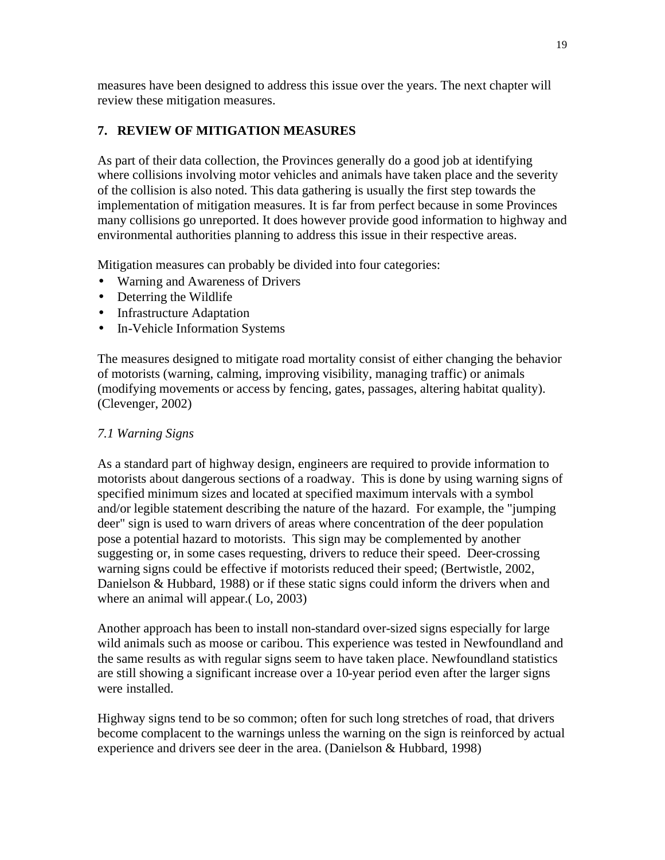measures have been designed to address this issue over the years. The next chapter will review these mitigation measures.

## **7. REVIEW OF MITIGATION MEASURES**

As part of their data collection, the Provinces generally do a good job at identifying where collisions involving motor vehicles and animals have taken place and the severity of the collision is also noted. This data gathering is usually the first step towards the implementation of mitigation measures. It is far from perfect because in some Provinces many collisions go unreported. It does however provide good information to highway and environmental authorities planning to address this issue in their respective areas.

Mitigation measures can probably be divided into four categories:

- Warning and Awareness of Drivers
- Deterring the Wildlife
- Infrastructure Adaptation
- In-Vehicle Information Systems

The measures designed to mitigate road mortality consist of either changing the behavior of motorists (warning, calming, improving visibility, managing traffic) or animals (modifying movements or access by fencing, gates, passages, altering habitat quality). (Clevenger, 2002)

## *7.1 Warning Signs*

As a standard part of highway design, engineers are required to provide information to motorists about dangerous sections of a roadway. This is done by using warning signs of specified minimum sizes and located at specified maximum intervals with a symbol and/or legible statement describing the nature of the hazard. For example, the "jumping deer" sign is used to warn drivers of areas where concentration of the deer population pose a potential hazard to motorists. This sign may be complemented by another suggesting or, in some cases requesting, drivers to reduce their speed. Deer-crossing warning signs could be effective if motorists reduced their speed; (Bertwistle, 2002, Danielson & Hubbard, 1988) or if these static signs could inform the drivers when and where an animal will appear.(Lo, 2003)

Another approach has been to install non-standard over-sized signs especially for large wild animals such as moose or caribou. This experience was tested in Newfoundland and the same results as with regular signs seem to have taken place. Newfoundland statistics are still showing a significant increase over a 10-year period even after the larger signs were installed.

Highway signs tend to be so common; often for such long stretches of road, that drivers become complacent to the warnings unless the warning on the sign is reinforced by actual experience and drivers see deer in the area. (Danielson & Hubbard, 1998)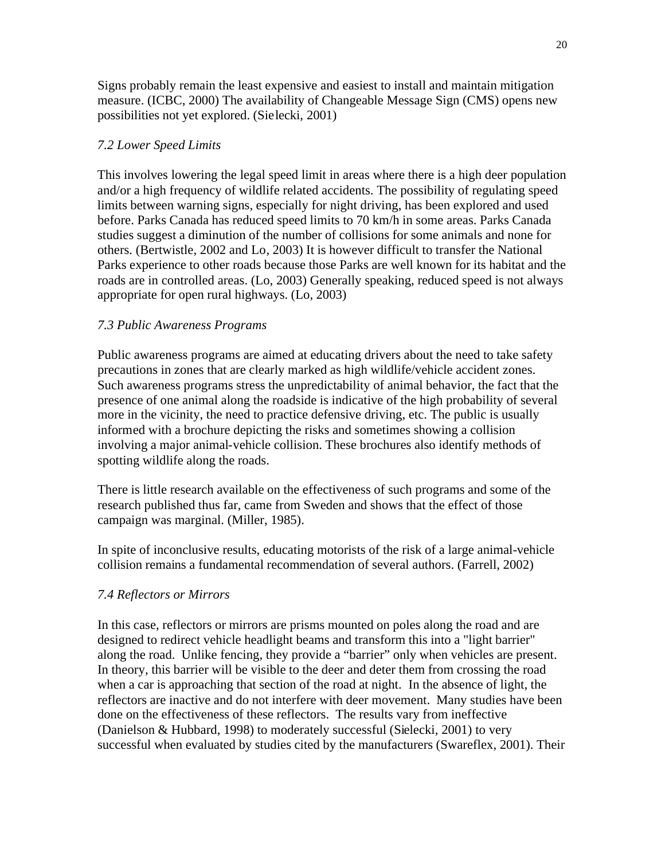Signs probably remain the least expensive and easiest to install and maintain mitigation measure. (ICBC, 2000) The availability of Changeable Message Sign (CMS) opens new possibilities not yet explored. (Sielecki, 2001)

## *7.2 Lower Speed Limits*

This involves lowering the legal speed limit in areas where there is a high deer population and/or a high frequency of wildlife related accidents. The possibility of regulating speed limits between warning signs, especially for night driving, has been explored and used before. Parks Canada has reduced speed limits to 70 km/h in some areas. Parks Canada studies suggest a diminution of the number of collisions for some animals and none for others. (Bertwistle, 2002 and Lo, 2003) It is however difficult to transfer the National Parks experience to other roads because those Parks are well known for its habitat and the roads are in controlled areas. (Lo, 2003) Generally speaking, reduced speed is not always appropriate for open rural highways. (Lo, 2003)

## *7.3 Public Awareness Programs*

Public awareness programs are aimed at educating drivers about the need to take safety precautions in zones that are clearly marked as high wildlife/vehicle accident zones. Such awareness programs stress the unpredictability of animal behavior, the fact that the presence of one animal along the roadside is indicative of the high probability of several more in the vicinity, the need to practice defensive driving, etc. The public is usually informed with a brochure depicting the risks and sometimes showing a collision involving a major animal-vehicle collision. These brochures also identify methods of spotting wildlife along the roads.

There is little research available on the effectiveness of such programs and some of the research published thus far, came from Sweden and shows that the effect of those campaign was marginal. (Miller, 1985).

In spite of inconclusive results, educating motorists of the risk of a large animal-vehicle collision remains a fundamental recommendation of several authors. (Farrell, 2002)

## *7.4 Reflectors or Mirrors*

In this case, reflectors or mirrors are prisms mounted on poles along the road and are designed to redirect vehicle headlight beams and transform this into a "light barrier" along the road. Unlike fencing, they provide a "barrier" only when vehicles are present. In theory, this barrier will be visible to the deer and deter them from crossing the road when a car is approaching that section of the road at night. In the absence of light, the reflectors are inactive and do not interfere with deer movement. Many studies have been done on the effectiveness of these reflectors. The results vary from ineffective (Danielson & Hubbard, 1998) to moderately successful (Sielecki, 2001) to very successful when evaluated by studies cited by the manufacturers (Swareflex, 2001). Their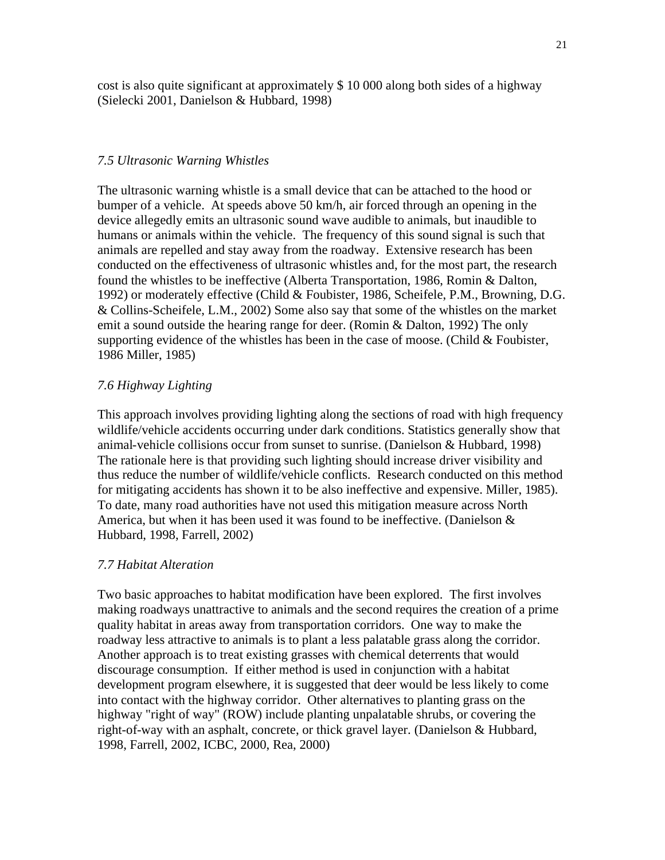cost is also quite significant at approximately \$ 10 000 along both sides of a highway (Sielecki 2001, Danielson & Hubbard, 1998)

### *7.5 Ultrasonic Warning Whistles*

The ultrasonic warning whistle is a small device that can be attached to the hood or bumper of a vehicle. At speeds above 50 km/h, air forced through an opening in the device allegedly emits an ultrasonic sound wave audible to animals, but inaudible to humans or animals within the vehicle. The frequency of this sound signal is such that animals are repelled and stay away from the roadway. Extensive research has been conducted on the effectiveness of ultrasonic whistles and, for the most part, the research found the whistles to be ineffective (Alberta Transportation, 1986, Romin & Dalton, 1992) or moderately effective (Child & Foubister, 1986, Scheifele, P.M., Browning, D.G. & Collins-Scheifele, L.M., 2002) Some also say that some of the whistles on the market emit a sound outside the hearing range for deer. (Romin & Dalton, 1992) The only supporting evidence of the whistles has been in the case of moose. (Child & Foubister, 1986 Miller, 1985)

### *7.6 Highway Lighting*

This approach involves providing lighting along the sections of road with high frequency wildlife/vehicle accidents occurring under dark conditions. Statistics generally show that animal-vehicle collisions occur from sunset to sunrise. (Danielson & Hubbard, 1998) The rationale here is that providing such lighting should increase driver visibility and thus reduce the number of wildlife/vehicle conflicts. Research conducted on this method for mitigating accidents has shown it to be also ineffective and expensive. Miller, 1985). To date, many road authorities have not used this mitigation measure across North America, but when it has been used it was found to be ineffective. (Danielson & Hubbard, 1998, Farrell, 2002)

### *7.7 Habitat Alteration*

Two basic approaches to habitat modification have been explored. The first involves making roadways unattractive to animals and the second requires the creation of a prime quality habitat in areas away from transportation corridors. One way to make the roadway less attractive to animals is to plant a less palatable grass along the corridor. Another approach is to treat existing grasses with chemical deterrents that would discourage consumption. If either method is used in conjunction with a habitat development program elsewhere, it is suggested that deer would be less likely to come into contact with the highway corridor. Other alternatives to planting grass on the highway "right of way" (ROW) include planting unpalatable shrubs, or covering the right-of-way with an asphalt, concrete, or thick gravel layer. (Danielson & Hubbard, 1998, Farrell, 2002, ICBC, 2000, Rea, 2000)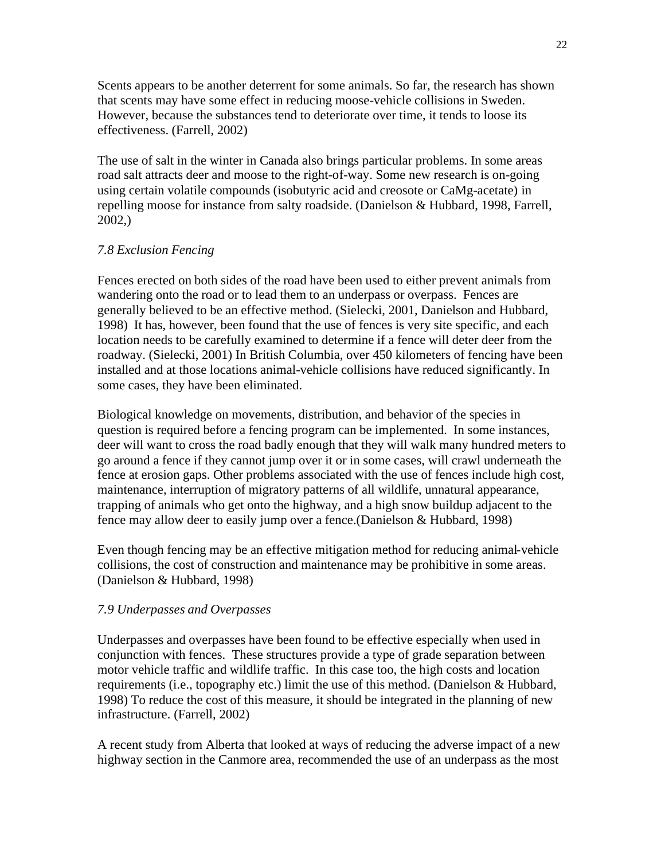Scents appears to be another deterrent for some animals. So far, the research has shown that scents may have some effect in reducing moose-vehicle collisions in Sweden. However, because the substances tend to deteriorate over time, it tends to loose its effectiveness. (Farrell, 2002)

The use of salt in the winter in Canada also brings particular problems. In some areas road salt attracts deer and moose to the right-of-way. Some new research is on-going using certain volatile compounds (isobutyric acid and creosote or CaMg-acetate) in repelling moose for instance from salty roadside. (Danielson & Hubbard, 1998, Farrell, 2002,)

### *7.8 Exclusion Fencing*

Fences erected on both sides of the road have been used to either prevent animals from wandering onto the road or to lead them to an underpass or overpass. Fences are generally believed to be an effective method. (Sielecki, 2001, Danielson and Hubbard, 1998) It has, however, been found that the use of fences is very site specific, and each location needs to be carefully examined to determine if a fence will deter deer from the roadway. (Sielecki, 2001) In British Columbia, over 450 kilometers of fencing have been installed and at those locations animal-vehicle collisions have reduced significantly. In some cases, they have been eliminated.

Biological knowledge on movements, distribution, and behavior of the species in question is required before a fencing program can be implemented. In some instances, deer will want to cross the road badly enough that they will walk many hundred meters to go around a fence if they cannot jump over it or in some cases, will crawl underneath the fence at erosion gaps. Other problems associated with the use of fences include high cost, maintenance, interruption of migratory patterns of all wildlife, unnatural appearance, trapping of animals who get onto the highway, and a high snow buildup adjacent to the fence may allow deer to easily jump over a fence.(Danielson & Hubbard, 1998)

Even though fencing may be an effective mitigation method for reducing animal-vehicle collisions, the cost of construction and maintenance may be prohibitive in some areas. (Danielson & Hubbard, 1998)

### *7.9 Underpasses and Overpasses*

Underpasses and overpasses have been found to be effective especially when used in conjunction with fences. These structures provide a type of grade separation between motor vehicle traffic and wildlife traffic. In this case too, the high costs and location requirements (i.e., topography etc.) limit the use of this method. (Danielson & Hubbard, 1998) To reduce the cost of this measure, it should be integrated in the planning of new infrastructure. (Farrell, 2002)

A recent study from Alberta that looked at ways of reducing the adverse impact of a new highway section in the Canmore area, recommended the use of an underpass as the most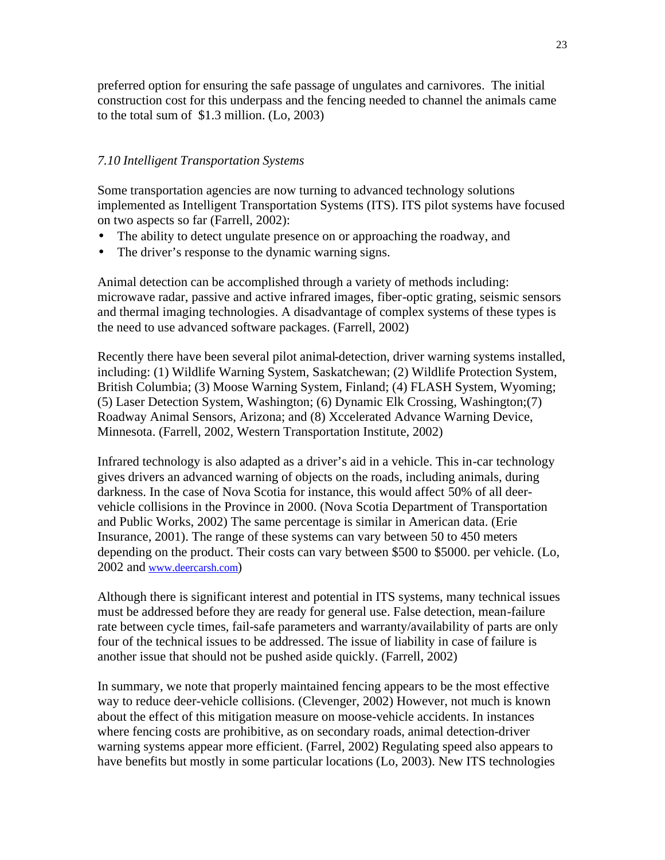preferred option for ensuring the safe passage of ungulates and carnivores. The initial construction cost for this underpass and the fencing needed to channel the animals came to the total sum of \$1.3 million. (Lo, 2003)

### *7.10 Intelligent Transportation Systems*

Some transportation agencies are now turning to advanced technology solutions implemented as Intelligent Transportation Systems (ITS). ITS pilot systems have focused on two aspects so far (Farrell, 2002):

- The ability to detect ungulate presence on or approaching the roadway, and
- The driver's response to the dynamic warning signs.

Animal detection can be accomplished through a variety of methods including: microwave radar, passive and active infrared images, fiber-optic grating, seismic sensors and thermal imaging technologies. A disadvantage of complex systems of these types is the need to use advanced software packages. (Farrell, 2002)

Recently there have been several pilot animal-detection, driver warning systems installed, including: (1) Wildlife Warning System, Saskatchewan; (2) Wildlife Protection System, British Columbia; (3) Moose Warning System, Finland; (4) FLASH System, Wyoming; (5) Laser Detection System, Washington; (6) Dynamic Elk Crossing, Washington;(7) Roadway Animal Sensors, Arizona; and (8) Xccelerated Advance Warning Device, Minnesota. (Farrell, 2002, Western Transportation Institute, 2002)

Infrared technology is also adapted as a driver's aid in a vehicle. This in-car technology gives drivers an advanced warning of objects on the roads, including animals, during darkness. In the case of Nova Scotia for instance, this would affect 50% of all deervehicle collisions in the Province in 2000. (Nova Scotia Department of Transportation and Public Works, 2002) The same percentage is similar in American data. (Erie Insurance, 2001). The range of these systems can vary between 50 to 450 meters depending on the product. Their costs can vary between \$500 to \$5000. per vehicle. (Lo, 2002 and www.deercarsh.com)

Although there is significant interest and potential in ITS systems, many technical issues must be addressed before they are ready for general use. False detection, mean-failure rate between cycle times, fail-safe parameters and warranty/availability of parts are only four of the technical issues to be addressed. The issue of liability in case of failure is another issue that should not be pushed aside quickly. (Farrell, 2002)

In summary, we note that properly maintained fencing appears to be the most effective way to reduce deer-vehicle collisions. (Clevenger, 2002) However, not much is known about the effect of this mitigation measure on moose-vehicle accidents. In instances where fencing costs are prohibitive, as on secondary roads, animal detection-driver warning systems appear more efficient. (Farrel, 2002) Regulating speed also appears to have benefits but mostly in some particular locations (Lo, 2003). New ITS technologies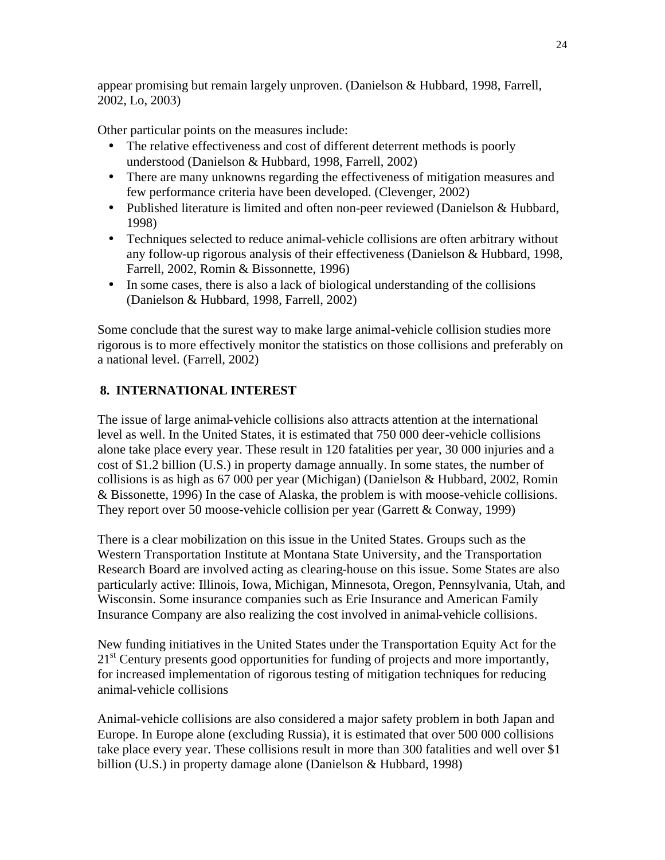appear promising but remain largely unproven. (Danielson & Hubbard, 1998, Farrell, 2002, Lo, 2003)

Other particular points on the measures include:

- The relative effectiveness and cost of different deterrent methods is poorly understood (Danielson & Hubbard, 1998, Farrell, 2002)
- There are many unknowns regarding the effectiveness of mitigation measures and few performance criteria have been developed. (Clevenger, 2002)
- Published literature is limited and often non-peer reviewed (Danielson & Hubbard, 1998)
- Techniques selected to reduce animal-vehicle collisions are often arbitrary without any follow-up rigorous analysis of their effectiveness (Danielson & Hubbard, 1998, Farrell, 2002, Romin & Bissonnette, 1996)
- In some cases, there is also a lack of biological understanding of the collisions (Danielson & Hubbard, 1998, Farrell, 2002)

Some conclude that the surest way to make large animal-vehicle collision studies more rigorous is to more effectively monitor the statistics on those collisions and preferably on a national level. (Farrell, 2002)

## **8. INTERNATIONAL INTEREST**

The issue of large animal-vehicle collisions also attracts attention at the international level as well. In the United States, it is estimated that 750 000 deer-vehicle collisions alone take place every year. These result in 120 fatalities per year, 30 000 injuries and a cost of \$1.2 billion (U.S.) in property damage annually. In some states, the number of collisions is as high as 67 000 per year (Michigan) (Danielson & Hubbard, 2002, Romin & Bissonette, 1996) In the case of Alaska, the problem is with moose-vehicle collisions. They report over 50 moose-vehicle collision per year (Garrett  $& Conway, 1999$ )

There is a clear mobilization on this issue in the United States. Groups such as the Western Transportation Institute at Montana State University, and the Transportation Research Board are involved acting as clearing-house on this issue. Some States are also particularly active: Illinois, Iowa, Michigan, Minnesota, Oregon, Pennsylvania, Utah, and Wisconsin. Some insurance companies such as Erie Insurance and American Family Insurance Company are also realizing the cost involved in animal-vehicle collisions.

New funding initiatives in the United States under the Transportation Equity Act for the 21<sup>st</sup> Century presents good opportunities for funding of projects and more importantly, for increased implementation of rigorous testing of mitigation techniques for reducing animal-vehicle collisions

Animal-vehicle collisions are also considered a major safety problem in both Japan and Europe. In Europe alone (excluding Russia), it is estimated that over 500 000 collisions take place every year. These collisions result in more than 300 fatalities and well over \$1 billion (U.S.) in property damage alone (Danielson & Hubbard, 1998)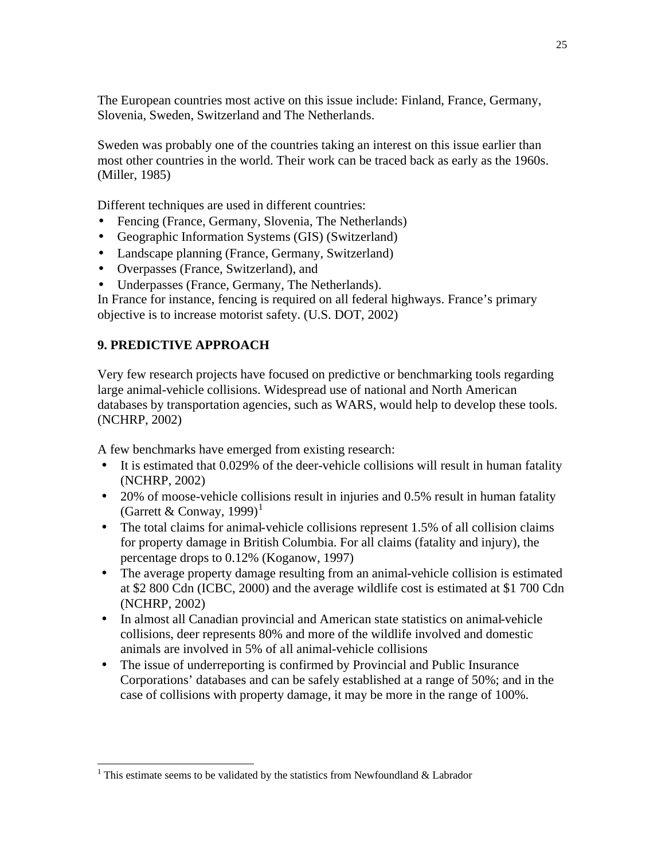The European countries most active on this issue include: Finland, France, Germany, Slovenia, Sweden, Switzerland and The Netherlands.

Sweden was probably one of the countries taking an interest on this issue earlier than most other countries in the world. Their work can be traced back as early as the 1960s. (Miller, 1985)

Different techniques are used in different countries:

- Fencing (France, Germany, Slovenia, The Netherlands)
- Geographic Information Systems (GIS) (Switzerland)
- Landscape planning (France, Germany, Switzerland)
- Overpasses (France, Switzerland), and
- Underpasses (France, Germany, The Netherlands).
- In France for instance, fencing is required on all federal highways. France's primary objective is to increase motorist safety. (U.S. DOT, 2002)

## **9. PREDICTIVE APPROACH**

l

Very few research projects have focused on predictive or benchmarking tools regarding large animal-vehicle collisions. Widespread use of national and North American databases by transportation agencies, such as WARS, would help to develop these tools. (NCHRP, 2002)

A few benchmarks have emerged from existing research:

- It is estimated that 0.029% of the deer-vehicle collisions will result in human fatality (NCHRP, 2002)
- 20% of moose-vehicle collisions result in injuries and 0.5% result in human fatality (Garrett & Conway, 1999)<sup>1</sup>
- The total claims for animal-vehicle collisions represent 1.5% of all collision claims for property damage in British Columbia. For all claims (fatality and injury), the percentage drops to 0.12% (Koganow, 1997)
- The average property damage resulting from an animal-vehicle collision is estimated at \$2 800 Cdn (ICBC, 2000) and the average wildlife cost is estimated at \$1 700 Cdn (NCHRP, 2002)
- In almost all Canadian provincial and American state statistics on animal-vehicle collisions, deer represents 80% and more of the wildlife involved and domestic animals are involved in 5% of all animal-vehicle collisions
- The issue of underreporting is confirmed by Provincial and Public Insurance Corporations' databases and can be safely established at a range of 50%; and in the case of collisions with property damage, it may be more in the range of 100%.

<sup>&</sup>lt;sup>1</sup> This estimate seems to be validated by the statistics from Newfoundland & Labrador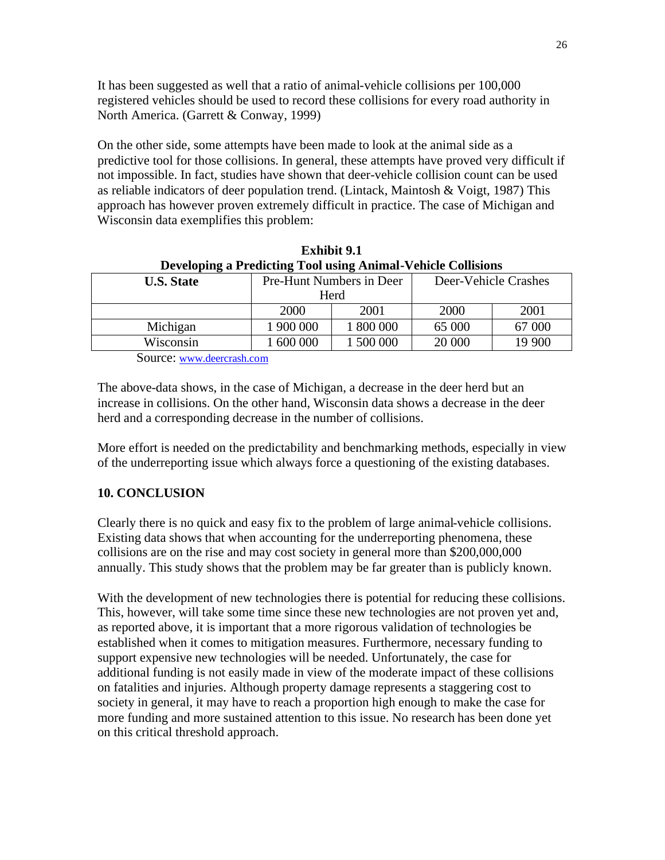It has been suggested as well that a ratio of animal-vehicle collisions per 100,000 registered vehicles should be used to record these collisions for every road authority in North America. (Garrett & Conway, 1999)

On the other side, some attempts have been made to look at the animal side as a predictive tool for those collisions. In general, these attempts have proved very difficult if not impossible. In fact, studies have shown that deer-vehicle collision count can be used as reliable indicators of deer population trend. (Lintack, Maintosh & Voigt, 1987) This approach has however proven extremely difficult in practice. The case of Michigan and Wisconsin data exemplifies this problem:

| Developing a Predicting Tool using Animal-Vehicle Collisions |                        |                          |                      |        |  |  |  |
|--------------------------------------------------------------|------------------------|--------------------------|----------------------|--------|--|--|--|
| <b>U.S. State</b>                                            |                        | Pre-Hunt Numbers in Deer | Deer-Vehicle Crashes |        |  |  |  |
|                                                              |                        | Herd                     |                      |        |  |  |  |
|                                                              | 2000                   | 2001                     | 2000                 | 2001   |  |  |  |
| Michigan                                                     | 1 900 000              | 1 800 000                | 65 000               | 67 000 |  |  |  |
| Wisconsin                                                    | 1 500 000<br>1 600 000 |                          | 20 000               | 19 900 |  |  |  |
|                                                              |                        |                          |                      |        |  |  |  |

**Exhibit 9.1 Developing a Predicting Tool using Animal-Vehicle Collisions**

Source: www.deercrash.com

The above-data shows, in the case of Michigan, a decrease in the deer herd but an increase in collisions. On the other hand, Wisconsin data shows a decrease in the deer herd and a corresponding decrease in the number of collisions.

More effort is needed on the predictability and benchmarking methods, especially in view of the underreporting issue which always force a questioning of the existing databases.

## **10. CONCLUSION**

Clearly there is no quick and easy fix to the problem of large animal-vehicle collisions. Existing data shows that when accounting for the underreporting phenomena, these collisions are on the rise and may cost society in general more than \$200,000,000 annually. This study shows that the problem may be far greater than is publicly known.

With the development of new technologies there is potential for reducing these collisions. This, however, will take some time since these new technologies are not proven yet and, as reported above, it is important that a more rigorous validation of technologies be established when it comes to mitigation measures. Furthermore, necessary funding to support expensive new technologies will be needed. Unfortunately, the case for additional funding is not easily made in view of the moderate impact of these collisions on fatalities and injuries. Although property damage represents a staggering cost to society in general, it may have to reach a proportion high enough to make the case for more funding and more sustained attention to this issue. No research has been done yet on this critical threshold approach.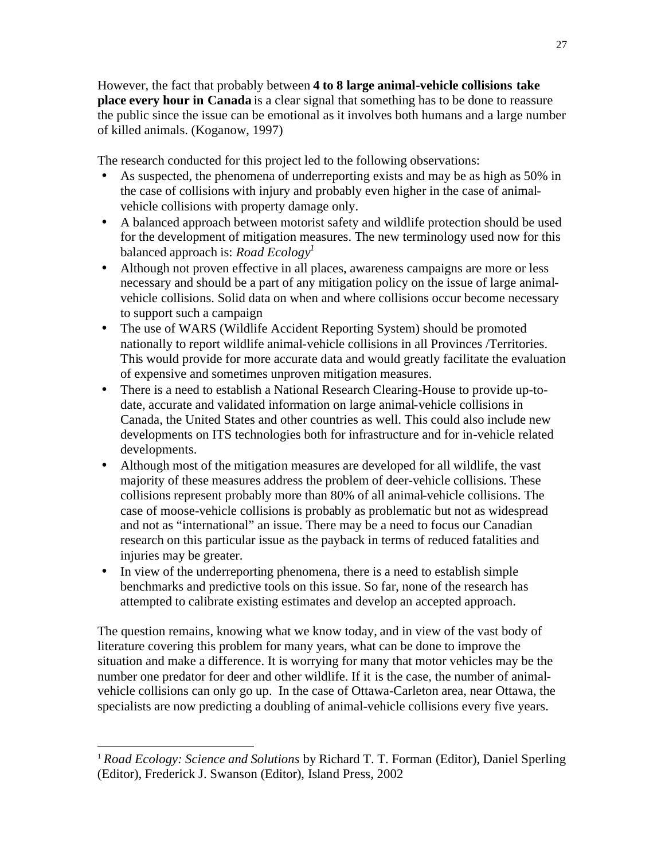However, the fact that probably between **4 to 8 large animal-vehicle collisions take place every hour in Canada** is a clear signal that something has to be done to reassure the public since the issue can be emotional as it involves both humans and a large number of killed animals. (Koganow, 1997)

The research conducted for this project led to the following observations:

- As suspected, the phenomena of underreporting exists and may be as high as 50% in the case of collisions with injury and probably even higher in the case of animalvehicle collisions with property damage only.
- A balanced approach between motorist safety and wildlife protection should be used for the development of mitigation measures. The new terminology used now for this balanced approach is: *Road Ecology<sup>1</sup>*
- Although not proven effective in all places, awareness campaigns are more or less necessary and should be a part of any mitigation policy on the issue of large animalvehicle collisions. Solid data on when and where collisions occur become necessary to support such a campaign
- The use of WARS (Wildlife Accident Reporting System) should be promoted nationally to report wildlife animal-vehicle collisions in all Provinces /Territories. This would provide for more accurate data and would greatly facilitate the evaluation of expensive and sometimes unproven mitigation measures.
- There is a need to establish a National Research Clearing-House to provide up-todate, accurate and validated information on large animal-vehicle collisions in Canada, the United States and other countries as well. This could also include new developments on ITS technologies both for infrastructure and for in-vehicle related developments.
- Although most of the mitigation measures are developed for all wildlife, the vast majority of these measures address the problem of deer-vehicle collisions. These collisions represent probably more than 80% of all animal-vehicle collisions. The case of moose-vehicle collisions is probably as problematic but not as widespread and not as "international" an issue. There may be a need to focus our Canadian research on this particular issue as the payback in terms of reduced fatalities and injuries may be greater.
- In view of the underreporting phenomena, there is a need to establish simple benchmarks and predictive tools on this issue. So far, none of the research has attempted to calibrate existing estimates and develop an accepted approach.

The question remains, knowing what we know today, and in view of the vast body of literature covering this problem for many years, what can be done to improve the situation and make a difference. It is worrying for many that motor vehicles may be the number one predator for deer and other wildlife. If it is the case, the number of animalvehicle collisions can only go up. In the case of Ottawa-Carleton area, near Ottawa, the specialists are now predicting a doubling of animal-vehicle collisions every five years.

l

<sup>1</sup> *Road Ecology: Science and Solutions* by Richard T. T. Forman (Editor), Daniel Sperling (Editor), Frederick J. Swanson (Editor), Island Press, 2002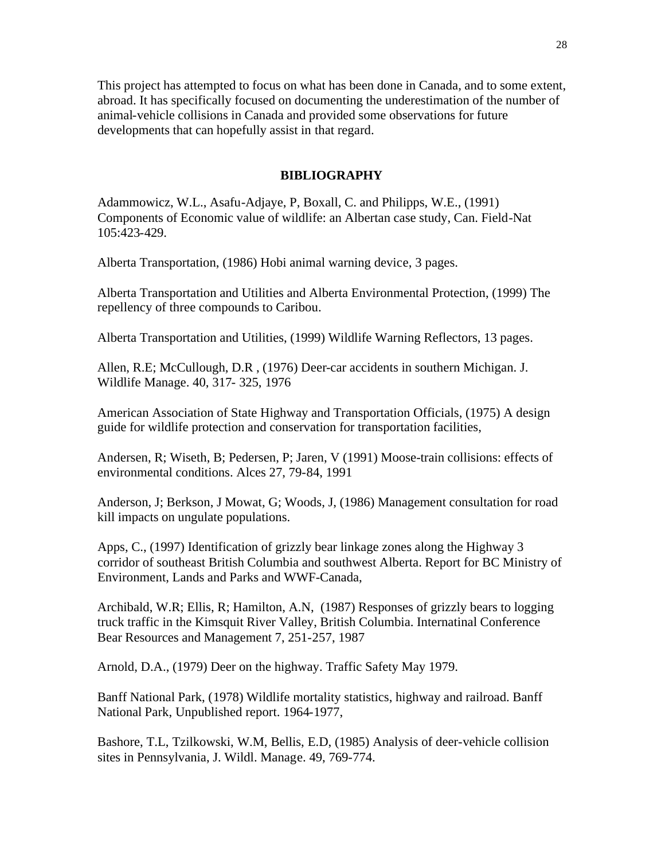This project has attempted to focus on what has been done in Canada, and to some extent, abroad. It has specifically focused on documenting the underestimation of the number of animal-vehicle collisions in Canada and provided some observations for future developments that can hopefully assist in that regard.

### **BIBLIOGRAPHY**

Adammowicz, W.L., Asafu-Adjaye, P, Boxall, C. and Philipps, W.E., (1991) Components of Economic value of wildlife: an Albertan case study, Can. Field-Nat 105:423-429.

Alberta Transportation, (1986) Hobi animal warning device, 3 pages.

Alberta Transportation and Utilities and Alberta Environmental Protection, (1999) The repellency of three compounds to Caribou.

Alberta Transportation and Utilities, (1999) Wildlife Warning Reflectors, 13 pages.

Allen, R.E; McCullough, D.R , (1976) Deer-car accidents in southern Michigan. J. Wildlife Manage. 40, 317- 325, 1976

American Association of State Highway and Transportation Officials, (1975) A design guide for wildlife protection and conservation for transportation facilities,

Andersen, R; Wiseth, B; Pedersen, P; Jaren, V (1991) Moose-train collisions: effects of environmental conditions. Alces 27, 79-84, 1991

Anderson, J; Berkson, J Mowat, G; Woods, J, (1986) Management consultation for road kill impacts on ungulate populations.

Apps, C., (1997) Identification of grizzly bear linkage zones along the Highway 3 corridor of southeast British Columbia and southwest Alberta. Report for BC Ministry of Environment, Lands and Parks and WWF-Canada,

Archibald, W.R; Ellis, R; Hamilton, A.N, (1987) Responses of grizzly bears to logging truck traffic in the Kimsquit River Valley, British Columbia. Internatinal Conference Bear Resources and Management 7, 251-257, 1987

Arnold, D.A., (1979) Deer on the highway. Traffic Safety May 1979.

Banff National Park, (1978) Wildlife mortality statistics, highway and railroad. Banff National Park, Unpublished report. 1964-1977,

Bashore, T.L, Tzilkowski, W.M, Bellis, E.D, (1985) Analysis of deer-vehicle collision sites in Pennsylvania, J. Wildl. Manage. 49, 769-774.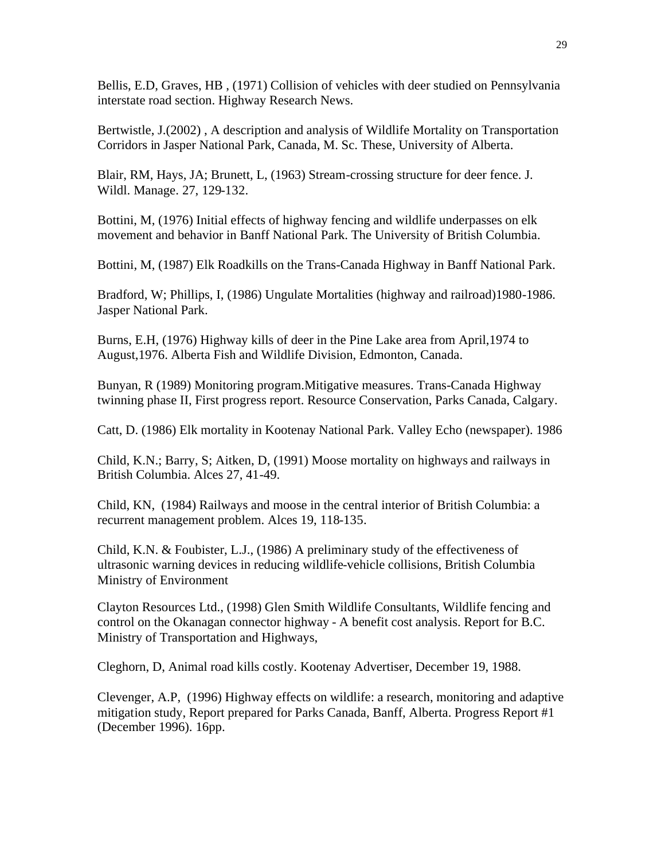Bellis, E.D, Graves, HB , (1971) Collision of vehicles with deer studied on Pennsylvania interstate road section. Highway Research News.

Bertwistle, J.(2002) , A description and analysis of Wildlife Mortality on Transportation Corridors in Jasper National Park, Canada, M. Sc. These, University of Alberta.

Blair, RM, Hays, JA; Brunett, L, (1963) Stream-crossing structure for deer fence. J. Wildl. Manage. 27, 129-132.

Bottini, M, (1976) Initial effects of highway fencing and wildlife underpasses on elk movement and behavior in Banff National Park. The University of British Columbia.

Bottini, M, (1987) Elk Roadkills on the Trans-Canada Highway in Banff National Park.

Bradford, W; Phillips, I, (1986) Ungulate Mortalities (highway and railroad)1980-1986. Jasper National Park.

Burns, E.H, (1976) Highway kills of deer in the Pine Lake area from April,1974 to August,1976. Alberta Fish and Wildlife Division, Edmonton, Canada.

Bunyan, R (1989) Monitoring program.Mitigative measures. Trans-Canada Highway twinning phase II, First progress report. Resource Conservation, Parks Canada, Calgary.

Catt, D. (1986) Elk mortality in Kootenay National Park. Valley Echo (newspaper). 1986

Child, K.N.; Barry, S; Aitken, D, (1991) Moose mortality on highways and railways in British Columbia. Alces 27, 41-49.

Child, KN, (1984) Railways and moose in the central interior of British Columbia: a recurrent management problem. Alces 19, 118-135.

Child, K.N. & Foubister, L.J., (1986) A preliminary study of the effectiveness of ultrasonic warning devices in reducing wildlife-vehicle collisions, British Columbia Ministry of Environment

Clayton Resources Ltd., (1998) Glen Smith Wildlife Consultants, Wildlife fencing and control on the Okanagan connector highway - A benefit cost analysis. Report for B.C. Ministry of Transportation and Highways,

Cleghorn, D, Animal road kills costly. Kootenay Advertiser, December 19, 1988.

Clevenger, A.P, (1996) Highway effects on wildlife: a research, monitoring and adaptive mitigation study, Report prepared for Parks Canada, Banff, Alberta. Progress Report #1 (December 1996). 16pp.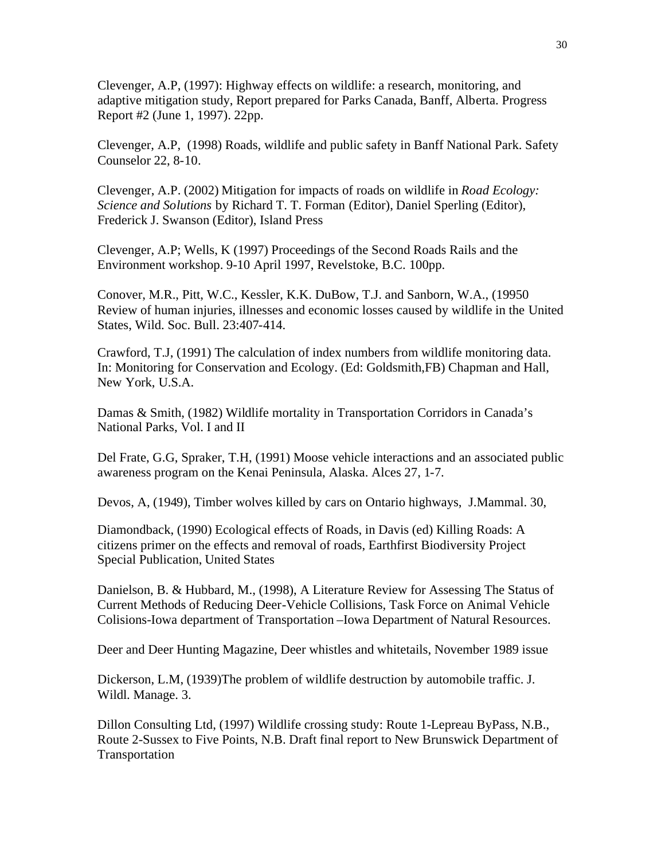Clevenger, A.P, (1997): Highway effects on wildlife: a research, monitoring, and adaptive mitigation study, Report prepared for Parks Canada, Banff, Alberta. Progress Report #2 (June 1, 1997). 22pp.

Clevenger, A.P, (1998) Roads, wildlife and public safety in Banff National Park. Safety Counselor 22, 8-10.

Clevenger, A.P. (2002) Mitigation for impacts of roads on wildlife in *Road Ecology: Science and Solutions* by Richard T. T. Forman (Editor), Daniel Sperling (Editor), Frederick J. Swanson (Editor), Island Press

Clevenger, A.P; Wells, K (1997) Proceedings of the Second Roads Rails and the Environment workshop. 9-10 April 1997, Revelstoke, B.C. 100pp.

Conover, M.R., Pitt, W.C., Kessler, K.K. DuBow, T.J. and Sanborn, W.A., (19950 Review of human injuries, illnesses and economic losses caused by wildlife in the United States, Wild. Soc. Bull. 23:407-414.

Crawford, T.J, (1991) The calculation of index numbers from wildlife monitoring data. In: Monitoring for Conservation and Ecology. (Ed: Goldsmith,FB) Chapman and Hall, New York, U.S.A.

Damas & Smith, (1982) Wildlife mortality in Transportation Corridors in Canada's National Parks, Vol. I and II

Del Frate, G.G, Spraker, T.H, (1991) Moose vehicle interactions and an associated public awareness program on the Kenai Peninsula, Alaska. Alces 27, 1-7.

Devos, A, (1949), Timber wolves killed by cars on Ontario highways, J.Mammal. 30,

Diamondback, (1990) Ecological effects of Roads, in Davis (ed) Killing Roads: A citizens primer on the effects and removal of roads, Earthfirst Biodiversity Project Special Publication, United States

Danielson, B. & Hubbard, M., (1998), A Literature Review for Assessing The Status of Current Methods of Reducing Deer-Vehicle Collisions, Task Force on Animal Vehicle Colisions-Iowa department of Transportation –Iowa Department of Natural Resources.

Deer and Deer Hunting Magazine, Deer whistles and whitetails, November 1989 issue

Dickerson, L.M, (1939)The problem of wildlife destruction by automobile traffic. J. Wildl. Manage. 3.

Dillon Consulting Ltd, (1997) Wildlife crossing study: Route 1-Lepreau ByPass, N.B., Route 2-Sussex to Five Points, N.B. Draft final report to New Brunswick Department of Transportation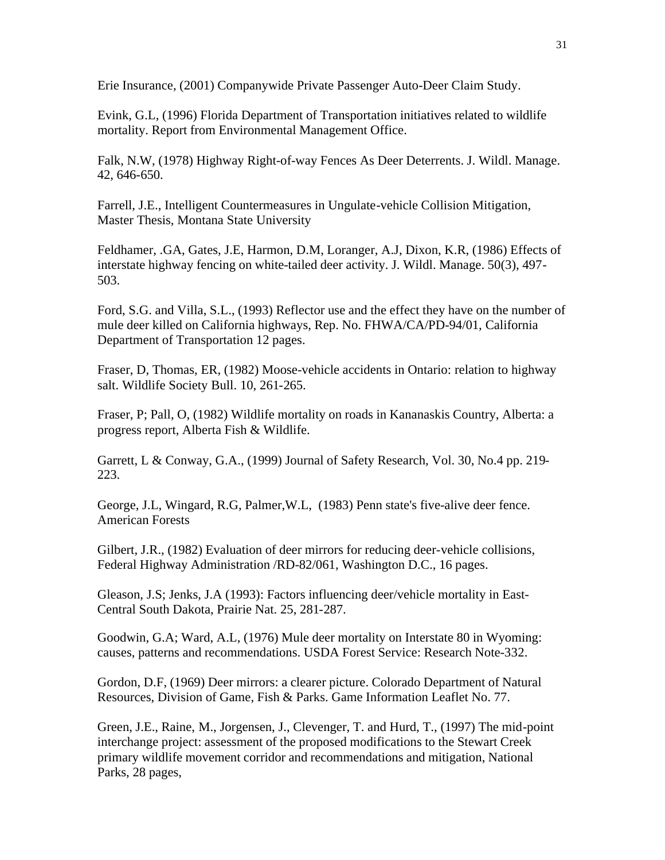Erie Insurance, (2001) Companywide Private Passenger Auto-Deer Claim Study.

Evink, G.L, (1996) Florida Department of Transportation initiatives related to wildlife mortality. Report from Environmental Management Office.

Falk, N.W, (1978) Highway Right-of-way Fences As Deer Deterrents. J. Wildl. Manage. 42, 646-650.

Farrell, J.E., Intelligent Countermeasures in Ungulate-vehicle Collision Mitigation, Master Thesis, Montana State University

Feldhamer, .GA, Gates, J.E, Harmon, D.M, Loranger, A.J, Dixon, K.R, (1986) Effects of interstate highway fencing on white-tailed deer activity. J. Wildl. Manage. 50(3), 497- 503.

Ford, S.G. and Villa, S.L., (1993) Reflector use and the effect they have on the number of mule deer killed on California highways, Rep. No. FHWA/CA/PD-94/01, California Department of Transportation 12 pages.

Fraser, D, Thomas, ER, (1982) Moose-vehicle accidents in Ontario: relation to highway salt. Wildlife Society Bull. 10, 261-265.

Fraser, P; Pall, O, (1982) Wildlife mortality on roads in Kananaskis Country, Alberta: a progress report, Alberta Fish & Wildlife.

Garrett, L & Conway, G.A., (1999) Journal of Safety Research, Vol. 30, No.4 pp. 219- 223.

George, J.L, Wingard, R.G, Palmer,W.L, (1983) Penn state's five-alive deer fence. American Forests

Gilbert, J.R., (1982) Evaluation of deer mirrors for reducing deer-vehicle collisions, Federal Highway Administration /RD-82/061, Washington D.C., 16 pages.

Gleason, J.S; Jenks, J.A (1993): Factors influencing deer/vehicle mortality in East-Central South Dakota, Prairie Nat. 25, 281-287.

Goodwin, G.A; Ward, A.L, (1976) Mule deer mortality on Interstate 80 in Wyoming: causes, patterns and recommendations. USDA Forest Service: Research Note-332.

Gordon, D.F, (1969) Deer mirrors: a clearer picture. Colorado Department of Natural Resources, Division of Game, Fish & Parks. Game Information Leaflet No. 77.

Green, J.E., Raine, M., Jorgensen, J., Clevenger, T. and Hurd, T., (1997) The mid-point interchange project: assessment of the proposed modifications to the Stewart Creek primary wildlife movement corridor and recommendations and mitigation, National Parks, 28 pages,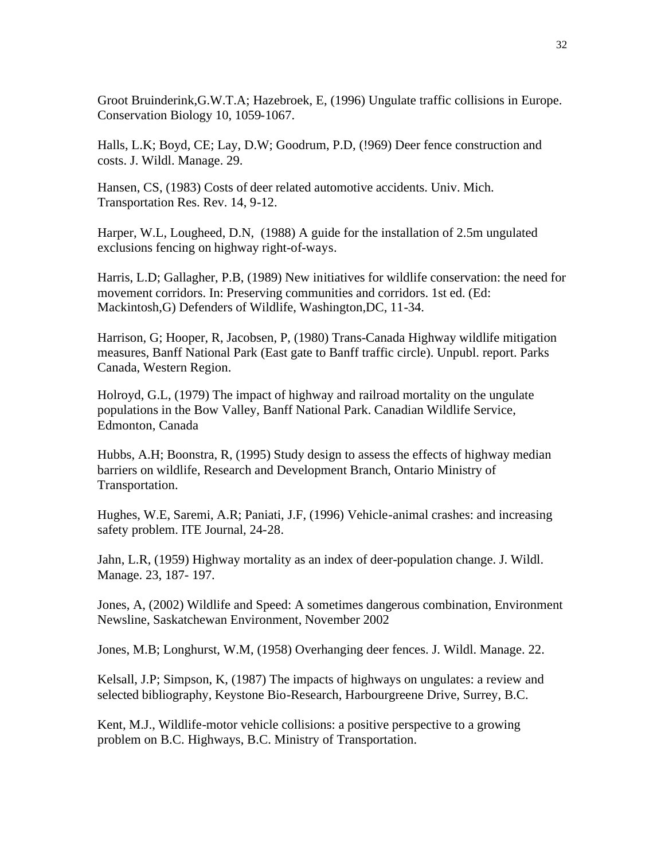Groot Bruinderink,G.W.T.A; Hazebroek, E, (1996) Ungulate traffic collisions in Europe. Conservation Biology 10, 1059-1067.

Halls, L.K; Boyd, CE; Lay, D.W; Goodrum, P.D, (!969) Deer fence construction and costs. J. Wildl. Manage. 29.

Hansen, CS, (1983) Costs of deer related automotive accidents. Univ. Mich. Transportation Res. Rev. 14, 9-12.

Harper, W.L, Lougheed, D.N, (1988) A guide for the installation of 2.5m ungulated exclusions fencing on highway right-of-ways.

Harris, L.D; Gallagher, P.B, (1989) New initiatives for wildlife conservation: the need for movement corridors. In: Preserving communities and corridors. 1st ed. (Ed: Mackintosh,G) Defenders of Wildlife, Washington,DC, 11-34.

Harrison, G; Hooper, R, Jacobsen, P, (1980) Trans-Canada Highway wildlife mitigation measures, Banff National Park (East gate to Banff traffic circle). Unpubl. report. Parks Canada, Western Region.

Holroyd, G.L, (1979) The impact of highway and railroad mortality on the ungulate populations in the Bow Valley, Banff National Park. Canadian Wildlife Service, Edmonton, Canada

Hubbs, A.H; Boonstra, R, (1995) Study design to assess the effects of highway median barriers on wildlife, Research and Development Branch, Ontario Ministry of Transportation.

Hughes, W.E, Saremi, A.R; Paniati, J.F, (1996) Vehicle-animal crashes: and increasing safety problem. ITE Journal, 24-28.

Jahn, L.R, (1959) Highway mortality as an index of deer-population change. J. Wildl. Manage. 23, 187- 197.

Jones, A, (2002) Wildlife and Speed: A sometimes dangerous combination, Environment Newsline, Saskatchewan Environment, November 2002

Jones, M.B; Longhurst, W.M, (1958) Overhanging deer fences. J. Wildl. Manage. 22.

Kelsall, J.P; Simpson, K, (1987) The impacts of highways on ungulates: a review and selected bibliography, Keystone Bio-Research, Harbourgreene Drive, Surrey, B.C.

Kent, M.J., Wildlife-motor vehicle collisions: a positive perspective to a growing problem on B.C. Highways, B.C. Ministry of Transportation.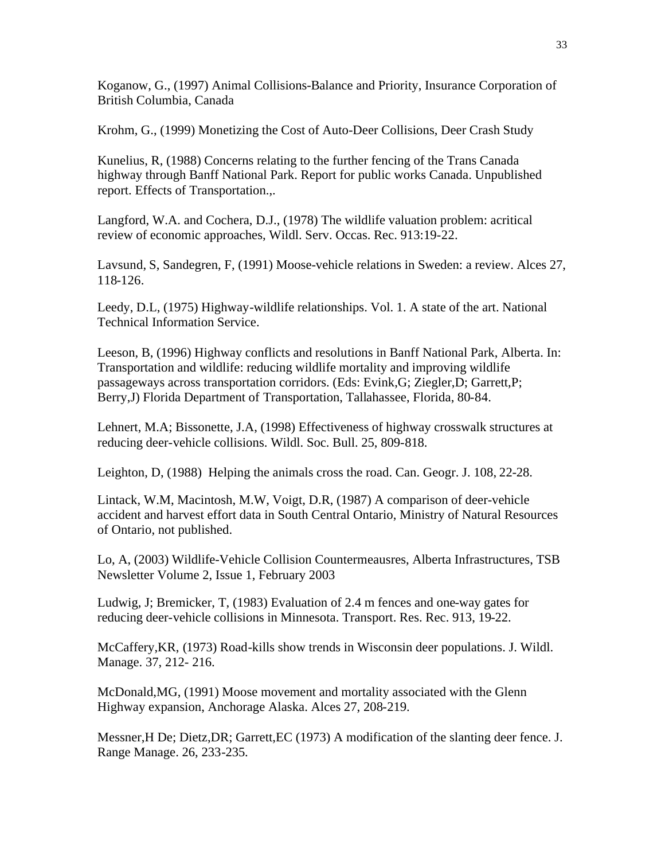Koganow, G., (1997) Animal Collisions-Balance and Priority, Insurance Corporation of British Columbia, Canada

Krohm, G., (1999) Monetizing the Cost of Auto-Deer Collisions, Deer Crash Study

Kunelius, R, (1988) Concerns relating to the further fencing of the Trans Canada highway through Banff National Park. Report for public works Canada. Unpublished report. Effects of Transportation.,.

Langford, W.A. and Cochera, D.J., (1978) The wildlife valuation problem: acritical review of economic approaches, Wildl. Serv. Occas. Rec. 913:19-22.

Lavsund, S, Sandegren, F, (1991) Moose-vehicle relations in Sweden: a review. Alces 27, 118-126.

Leedy, D.L, (1975) Highway-wildlife relationships. Vol. 1. A state of the art. National Technical Information Service.

Leeson, B, (1996) Highway conflicts and resolutions in Banff National Park, Alberta. In: Transportation and wildlife: reducing wildlife mortality and improving wildlife passageways across transportation corridors. (Eds: Evink,G; Ziegler,D; Garrett,P; Berry,J) Florida Department of Transportation, Tallahassee, Florida, 80-84.

Lehnert, M.A; Bissonette, J.A, (1998) Effectiveness of highway crosswalk structures at reducing deer-vehicle collisions. Wildl. Soc. Bull. 25, 809-818.

Leighton, D, (1988) Helping the animals cross the road. Can. Geogr. J. 108, 22-28.

Lintack, W.M, Macintosh, M.W, Voigt, D.R, (1987) A comparison of deer-vehicle accident and harvest effort data in South Central Ontario, Ministry of Natural Resources of Ontario, not published.

Lo, A, (2003) Wildlife-Vehicle Collision Countermeausres, Alberta Infrastructures, TSB Newsletter Volume 2, Issue 1, February 2003

Ludwig, J; Bremicker, T, (1983) Evaluation of 2.4 m fences and one-way gates for reducing deer-vehicle collisions in Minnesota. Transport. Res. Rec. 913, 19-22.

McCaffery,KR, (1973) Road-kills show trends in Wisconsin deer populations. J. Wildl. Manage. 37, 212- 216.

McDonald,MG, (1991) Moose movement and mortality associated with the Glenn Highway expansion, Anchorage Alaska. Alces 27, 208-219.

Messner,H De; Dietz,DR; Garrett,EC (1973) A modification of the slanting deer fence. J. Range Manage. 26, 233-235.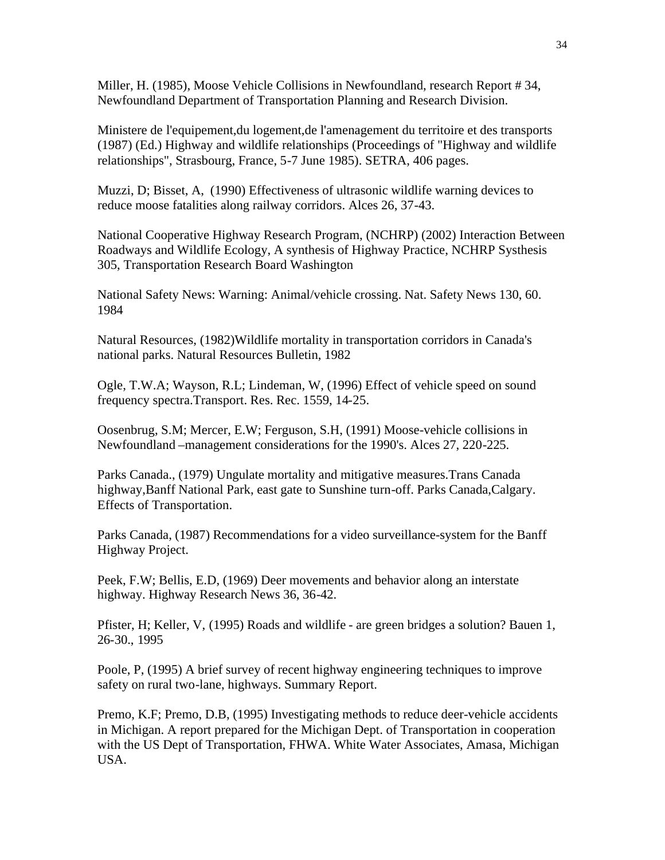Miller, H. (1985), Moose Vehicle Collisions in Newfoundland, research Report # 34, Newfoundland Department of Transportation Planning and Research Division.

Ministere de l'equipement,du logement,de l'amenagement du territoire et des transports (1987) (Ed.) Highway and wildlife relationships (Proceedings of "Highway and wildlife relationships", Strasbourg, France, 5-7 June 1985). SETRA, 406 pages.

Muzzi, D; Bisset, A, (1990) Effectiveness of ultrasonic wildlife warning devices to reduce moose fatalities along railway corridors. Alces 26, 37-43.

National Cooperative Highway Research Program, (NCHRP) (2002) Interaction Between Roadways and Wildlife Ecology, A synthesis of Highway Practice, NCHRP Systhesis 305, Transportation Research Board Washington

National Safety News: Warning: Animal/vehicle crossing. Nat. Safety News 130, 60. 1984

Natural Resources, (1982)Wildlife mortality in transportation corridors in Canada's national parks. Natural Resources Bulletin, 1982

Ogle, T.W.A; Wayson, R.L; Lindeman, W, (1996) Effect of vehicle speed on sound frequency spectra.Transport. Res. Rec. 1559, 14-25.

Oosenbrug, S.M; Mercer, E.W; Ferguson, S.H, (1991) Moose-vehicle collisions in Newfoundland –management considerations for the 1990's. Alces 27, 220-225.

Parks Canada., (1979) Ungulate mortality and mitigative measures.Trans Canada highway,Banff National Park, east gate to Sunshine turn-off. Parks Canada,Calgary. Effects of Transportation.

Parks Canada, (1987) Recommendations for a video surveillance-system for the Banff Highway Project.

Peek, F.W; Bellis, E.D, (1969) Deer movements and behavior along an interstate highway. Highway Research News 36, 36-42.

Pfister, H; Keller, V, (1995) Roads and wildlife - are green bridges a solution? Bauen 1, 26-30., 1995

Poole, P, (1995) A brief survey of recent highway engineering techniques to improve safety on rural two-lane, highways. Summary Report.

Premo, K.F; Premo, D.B, (1995) Investigating methods to reduce deer-vehicle accidents in Michigan. A report prepared for the Michigan Dept. of Transportation in cooperation with the US Dept of Transportation, FHWA. White Water Associates, Amasa, Michigan USA.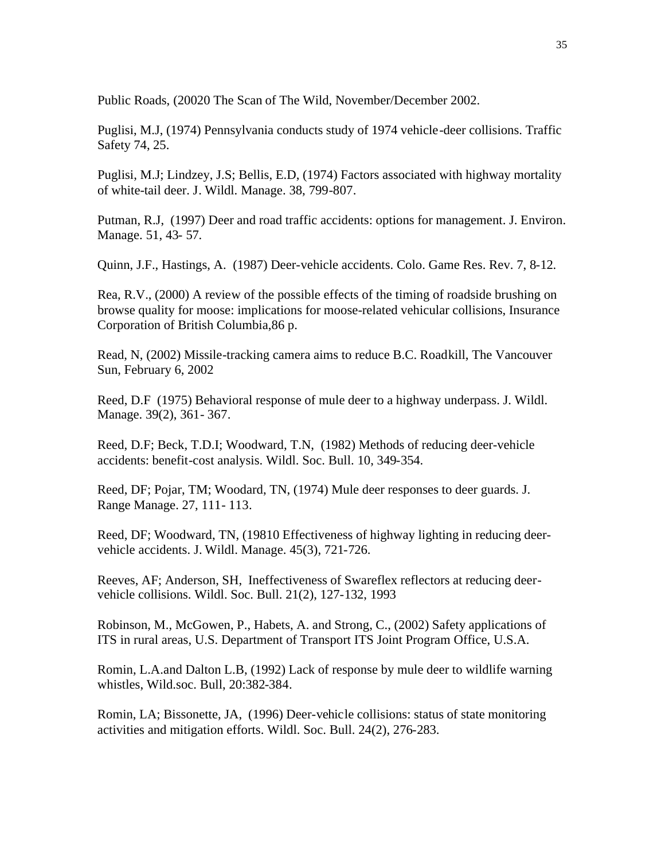Public Roads, (20020 The Scan of The Wild, November/December 2002.

Puglisi, M.J, (1974) Pennsylvania conducts study of 1974 vehicle-deer collisions. Traffic Safety 74, 25.

Puglisi, M.J; Lindzey, J.S; Bellis, E.D, (1974) Factors associated with highway mortality of white-tail deer. J. Wildl. Manage. 38, 799-807.

Putman, R.J, (1997) Deer and road traffic accidents: options for management. J. Environ. Manage. 51, 43- 57.

Quinn, J.F., Hastings, A. (1987) Deer-vehicle accidents. Colo. Game Res. Rev. 7, 8-12.

Rea, R.V., (2000) A review of the possible effects of the timing of roadside brushing on browse quality for moose: implications for moose-related vehicular collisions, Insurance Corporation of British Columbia,86 p.

Read, N, (2002) Missile-tracking camera aims to reduce B.C. Roadkill, The Vancouver Sun, February 6, 2002

Reed, D.F (1975) Behavioral response of mule deer to a highway underpass. J. Wildl. Manage. 39(2), 361- 367.

Reed, D.F; Beck, T.D.I; Woodward, T.N, (1982) Methods of reducing deer-vehicle accidents: benefit-cost analysis. Wildl. Soc. Bull. 10, 349-354.

Reed, DF; Pojar, TM; Woodard, TN, (1974) Mule deer responses to deer guards. J. Range Manage. 27, 111- 113.

Reed, DF; Woodward, TN, (19810 Effectiveness of highway lighting in reducing deervehicle accidents. J. Wildl. Manage. 45(3), 721-726.

Reeves, AF; Anderson, SH, Ineffectiveness of Swareflex reflectors at reducing deervehicle collisions. Wildl. Soc. Bull. 21(2), 127-132, 1993

Robinson, M., McGowen, P., Habets, A. and Strong, C., (2002) Safety applications of ITS in rural areas, U.S. Department of Transport ITS Joint Program Office, U.S.A.

Romin, L.A.and Dalton L.B, (1992) Lack of response by mule deer to wildlife warning whistles, Wild.soc. Bull, 20:382-384.

Romin, LA; Bissonette, JA, (1996) Deer-vehicle collisions: status of state monitoring activities and mitigation efforts. Wildl. Soc. Bull. 24(2), 276-283.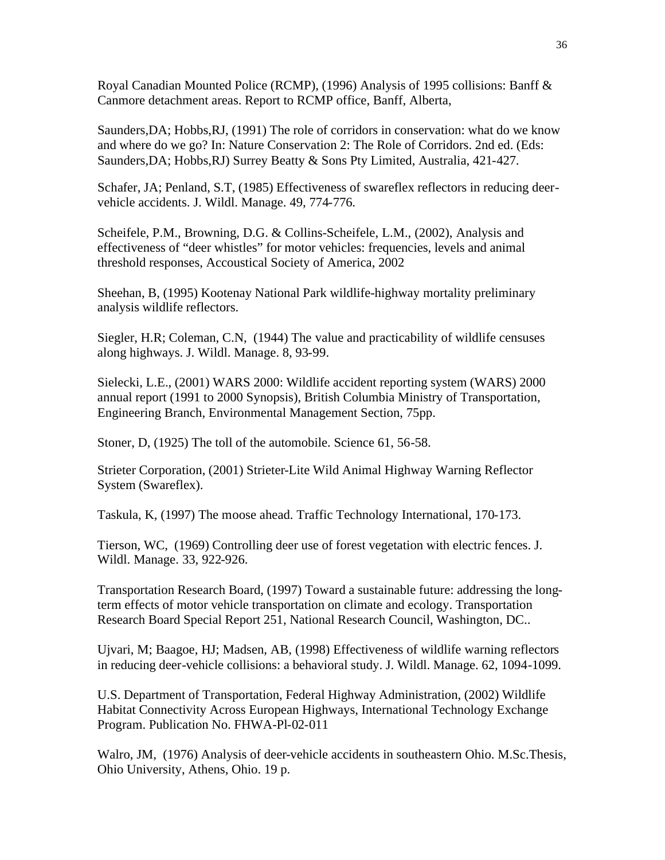Royal Canadian Mounted Police (RCMP), (1996) Analysis of 1995 collisions: Banff & Canmore detachment areas. Report to RCMP office, Banff, Alberta,

Saunders,DA; Hobbs,RJ, (1991) The role of corridors in conservation: what do we know and where do we go? In: Nature Conservation 2: The Role of Corridors. 2nd ed. (Eds: Saunders,DA; Hobbs,RJ) Surrey Beatty & Sons Pty Limited, Australia, 421-427.

Schafer, JA; Penland, S.T, (1985) Effectiveness of swareflex reflectors in reducing deervehicle accidents. J. Wildl. Manage. 49, 774-776.

Scheifele, P.M., Browning, D.G. & Collins-Scheifele, L.M., (2002), Analysis and effectiveness of "deer whistles" for motor vehicles: frequencies, levels and animal threshold responses, Accoustical Society of America, 2002

Sheehan, B, (1995) Kootenay National Park wildlife-highway mortality preliminary analysis wildlife reflectors.

Siegler, H.R; Coleman, C.N, (1944) The value and practicability of wildlife censuses along highways. J. Wildl. Manage. 8, 93-99.

Sielecki, L.E., (2001) WARS 2000: Wildlife accident reporting system (WARS) 2000 annual report (1991 to 2000 Synopsis), British Columbia Ministry of Transportation, Engineering Branch, Environmental Management Section, 75pp.

Stoner, D, (1925) The toll of the automobile. Science 61, 56-58.

Strieter Corporation, (2001) Strieter-Lite Wild Animal Highway Warning Reflector System (Swareflex).

Taskula, K, (1997) The moose ahead. Traffic Technology International, 170-173.

Tierson, WC, (1969) Controlling deer use of forest vegetation with electric fences. J. Wildl. Manage. 33, 922-926.

Transportation Research Board, (1997) Toward a sustainable future: addressing the longterm effects of motor vehicle transportation on climate and ecology. Transportation Research Board Special Report 251, National Research Council, Washington, DC..

Ujvari, M; Baagoe, HJ; Madsen, AB, (1998) Effectiveness of wildlife warning reflectors in reducing deer-vehicle collisions: a behavioral study. J. Wildl. Manage. 62, 1094-1099.

U.S. Department of Transportation, Federal Highway Administration, (2002) Wildlife Habitat Connectivity Across European Highways, International Technology Exchange Program. Publication No. FHWA-Pl-02-011

Walro, JM, (1976) Analysis of deer-vehicle accidents in southeastern Ohio. M.Sc.Thesis, Ohio University, Athens, Ohio. 19 p.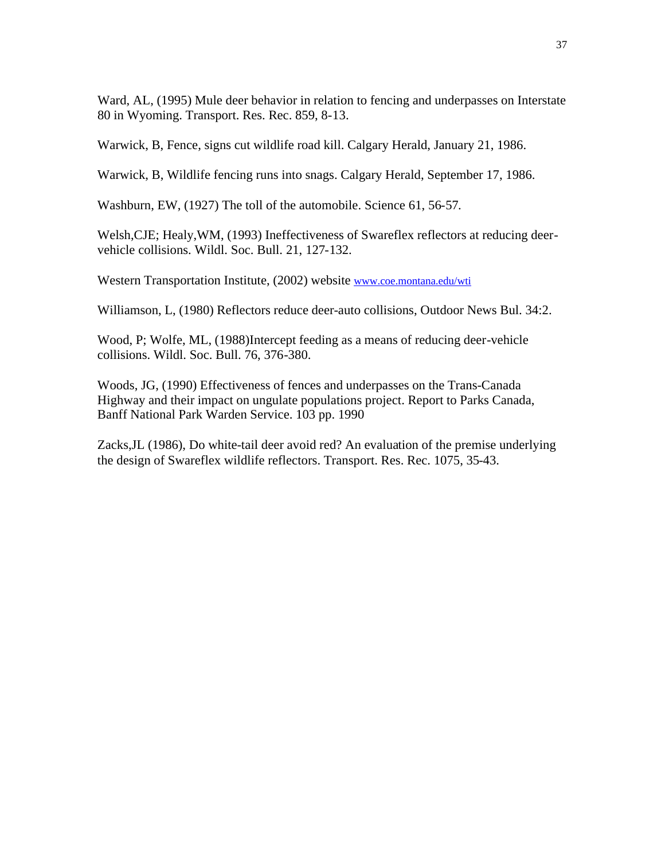Ward, AL, (1995) Mule deer behavior in relation to fencing and underpasses on Interstate 80 in Wyoming. Transport. Res. Rec. 859, 8-13.

Warwick, B, Fence, signs cut wildlife road kill. Calgary Herald, January 21, 1986.

Warwick, B, Wildlife fencing runs into snags. Calgary Herald, September 17, 1986.

Washburn, EW, (1927) The toll of the automobile. Science 61, 56-57.

Welsh,CJE; Healy,WM, (1993) Ineffectiveness of Swareflex reflectors at reducing deervehicle collisions. Wildl. Soc. Bull. 21, 127-132.

Western Transportation Institute, (2002) website www.coe.montana.edu/wti

Williamson, L, (1980) Reflectors reduce deer-auto collisions, Outdoor News Bul. 34:2.

Wood, P; Wolfe, ML, (1988)Intercept feeding as a means of reducing deer-vehicle collisions. Wildl. Soc. Bull. 76, 376-380.

Woods, JG, (1990) Effectiveness of fences and underpasses on the Trans-Canada Highway and their impact on ungulate populations project. Report to Parks Canada, Banff National Park Warden Service. 103 pp. 1990

Zacks,JL (1986), Do white-tail deer avoid red? An evaluation of the premise underlying the design of Swareflex wildlife reflectors. Transport. Res. Rec. 1075, 35-43.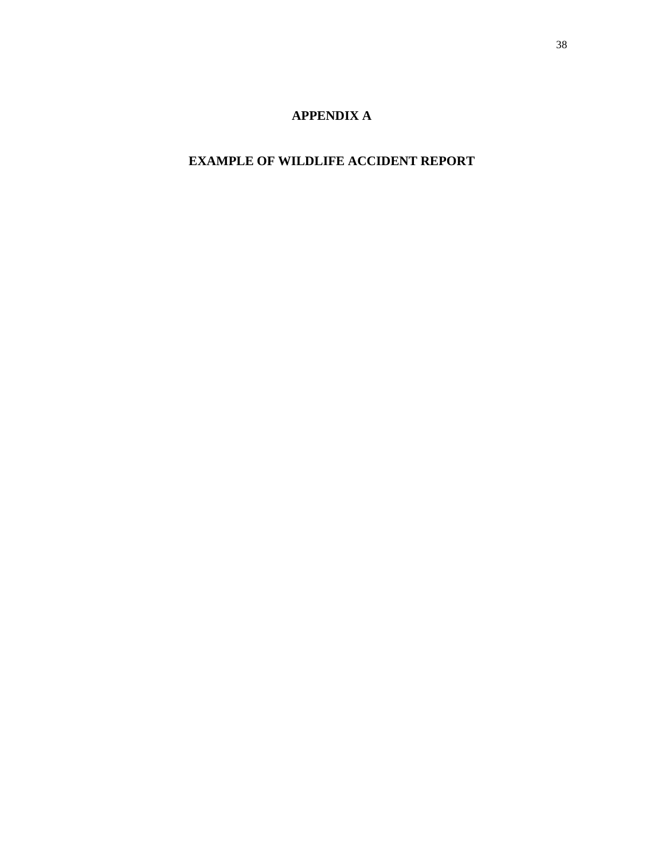# **APPENDIX A**

# **EXAMPLE OF WILDLIFE ACCIDENT REPORT**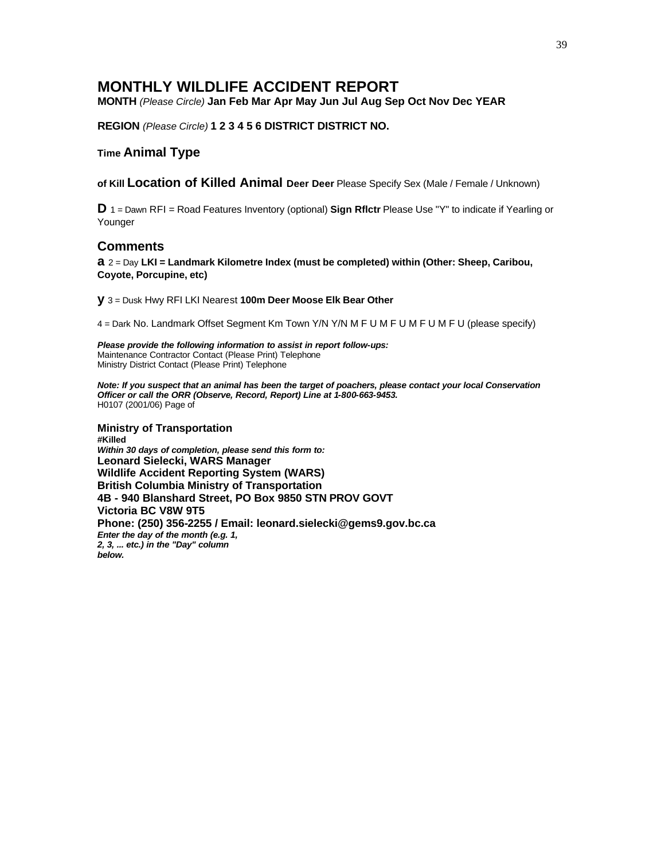## **MONTHLY WILDLIFE ACCIDENT REPORT**

**MONTH** *(Please Circle)* **Jan Feb Mar Apr May Jun Jul Aug Sep Oct Nov Dec YEAR**

**REGION** *(Please Circle)* **1 2 3 4 5 6 DISTRICT DISTRICT NO.**

#### **Time Animal Type**

**of Kill Location of Killed Animal Deer Deer** Please Specify Sex (Male / Female / Unknown)

**D** 1 = Dawn RFI = Road Features Inventory (optional) **Sign Rflctr** Please Use "Y" to indicate if Yearling or Younger

#### **Comments**

**a** 2 = Day **LKI = Landmark Kilometre Index (must be completed) within (Other: Sheep, Caribou, Coyote, Porcupine, etc)**

**y** 3 = Dusk Hwy RFI LKI Nearest **100m Deer Moose Elk Bear Other**

4 = Dark No. Landmark Offset Segment Km Town Y/N Y/N M F U M F U M F U M F U (please specify)

*Please provide the following information to assist in report follow-ups:* Maintenance Contractor Contact (Please Print) Telephone Ministry District Contact (Please Print) Telephone

*Note: If you suspect that an animal has been the target of poachers, please contact your local Conservation Officer or call the ORR (Observe, Record, Report) Line at 1-800-663-9453.* H0107 (2001/06) Page of

**Ministry of Transportation #Killed** *Within 30 days of completion, please send this form to:* **Leonard Sielecki, WARS Manager Wildlife Accident Reporting System (WARS) British Columbia Ministry of Transportation 4B - 940 Blanshard Street, PO Box 9850 STN PROV GOVT Victoria BC V8W 9T5 Phone: (250) 356-2255 / Email: leonard.sielecki@gems9.gov.bc.ca** *Enter the day of the month (e.g. 1, 2, 3, ... etc.) in the "Day" column below.*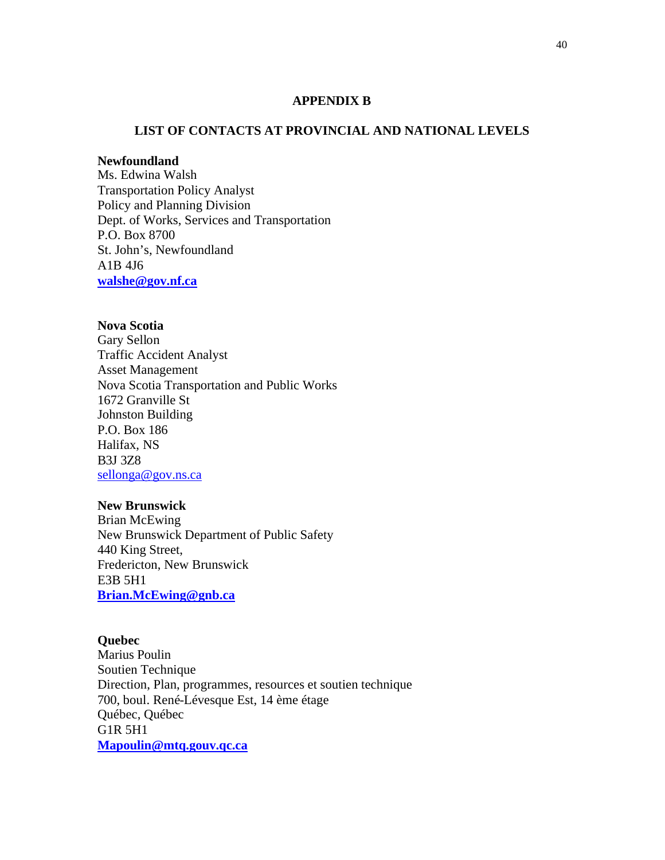#### **APPENDIX B**

#### **LIST OF CONTACTS AT PROVINCIAL AND NATIONAL LEVELS**

### **Newfoundland**

Ms. Edwina Walsh Transportation Policy Analyst Policy and Planning Division Dept. of Works, Services and Transportation P.O. Box 8700 St. John's, Newfoundland A1B 4J6 **walshe@gov.nf.ca**

### **Nova Scotia**

Gary Sellon Traffic Accident Analyst Asset Management Nova Scotia Transportation and Public Works 1672 Granville St Johnston Building P.O. Box 186 Halifax, NS B3J 3Z8 sellonga@gov.ns.ca

#### **New Brunswick**

Brian McEwing New Brunswick Department of Public Safety 440 King Street, Fredericton, New Brunswick E3B 5H1 **Brian.McEwing@gnb.ca**

### **Quebec**

Marius Poulin Soutien Technique Direction, Plan, programmes, resources et soutien technique 700, boul. René-Lévesque Est, 14 ème étage Québec, Québec G1R 5H1 **Mapoulin@mtq.gouv.qc.ca**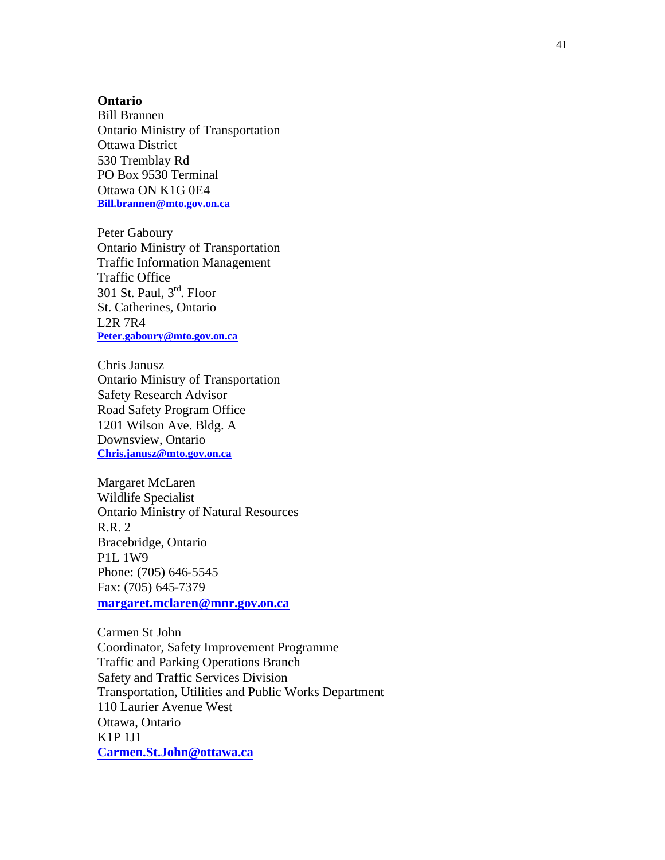#### **Ontario**

Bill Brannen Ontario Ministry of Transportation Ottawa District 530 Tremblay Rd PO Box 9530 Terminal Ottawa ON K1G 0E4 **Bill.brannen@mto.gov.on.ca**

Peter Gaboury Ontario Ministry of Transportation Traffic Information Management Traffic Office 301 St. Paul,  $3<sup>rd</sup>$ . Floor St. Catherines, Ontario L2R 7R4 **Peter.gaboury@mto.gov.on.ca**

Chris Janusz Ontario Ministry of Transportation Safety Research Advisor Road Safety Program Office 1201 Wilson Ave. Bldg. A Downsview, Ontario **Chris.janusz@mto.gov.on.ca**

Margaret McLaren Wildlife Specialist Ontario Ministry of Natural Resources R.R. 2 Bracebridge, Ontario P1L 1W9 Phone: (705) 646-5545 Fax: (705) 645-7379 **margaret.mclaren@mnr.gov.on.ca**

Carmen St John Coordinator, Safety Improvement Programme Traffic and Parking Operations Branch Safety and Traffic Services Division Transportation, Utilities and Public Works Department 110 Laurier Avenue West Ottawa, Ontario K1P 1J1 **Carmen.St.John@ottawa.ca**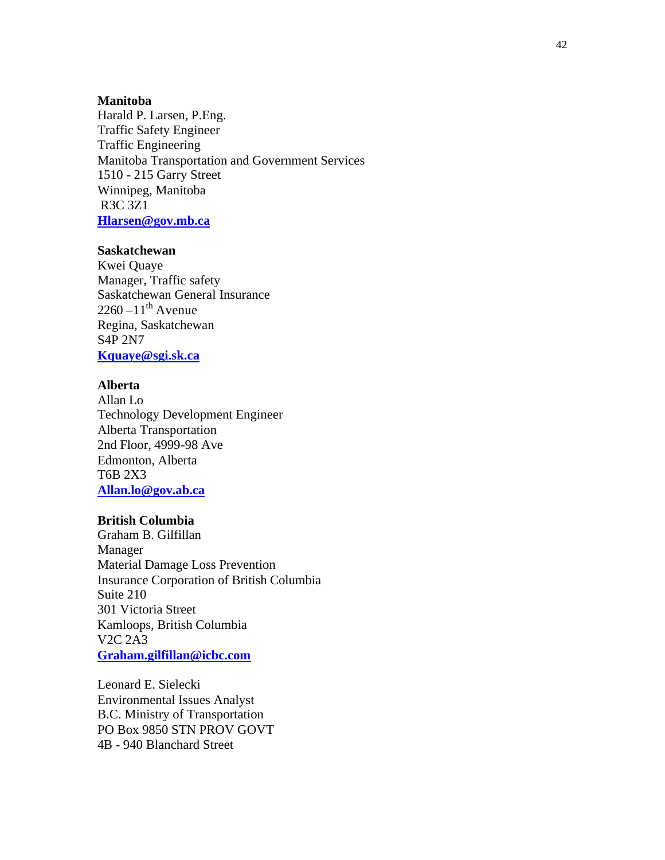#### **Manitoba**

Harald P. Larsen, P.Eng. Traffic Safety Engineer Traffic Engineering Manitoba Transportation and Government Services 1510 - 215 Garry Street Winnipeg, Manitoba R3C 3Z1 **Hlarsen@gov.mb.ca**

### **Saskatchewan**

Kwei Quaye Manager, Traffic safety Saskatchewan General Insurance 2260 –11<sup>th</sup> Avenue Regina, Saskatchewan S4P 2N7 **Kquaye@sgi.sk.ca**

#### **Alberta**

Allan Lo Technology Development Engineer Alberta Transportation 2nd Floor, 4999 -98 Ave Edmonton, Alberta T6B 2X3 **Allan.lo@gov.ab.ca**

### **British Columbia**

Graham B. Gilfillan Manager Material Damage Loss Prevention Insurance Corporation of British Columbia Suite 210 301 Victoria Street Kamloops, British Columbia V2C 2A3 **Graham.gilfillan@icbc.com**

Leonard E. Sielecki Environmental Issues Analyst B.C. Ministry of Transportation PO Box 9850 STN PROV GOVT 4B - 940 Blanchard Street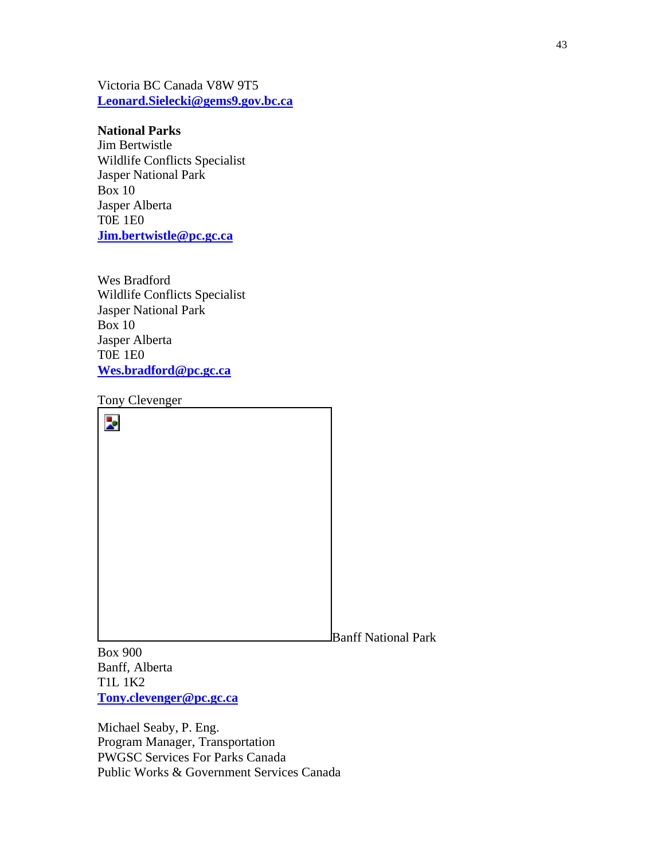Victoria BC Canada V8W 9T5 **Leonard.Sielecki@gems9.gov.bc.ca**

#### **National Parks**

Jim Bertwistle Wildlife Conflicts Specialist Jasper National Park Box 10 Jasper Alberta T0E 1E0 **Jim.bertwistle@pc.gc.ca**

Wes Bradford Wildlife Conflicts Specialist Jasper National Park Box 10 Jasper Alberta T0E 1E0 **Wes.bradford@pc.gc.ca**

Tony Clevenger

 $\overline{\mathbf{z}}$ Banff National Park

Box 900 Banff, Alberta T1L 1K2 **Tony.clevenger@pc.gc.ca**

Michael Seaby, P. Eng. Program Manager, Transportation PWGSC Services For Parks Canada Public Works & Government Services Canada